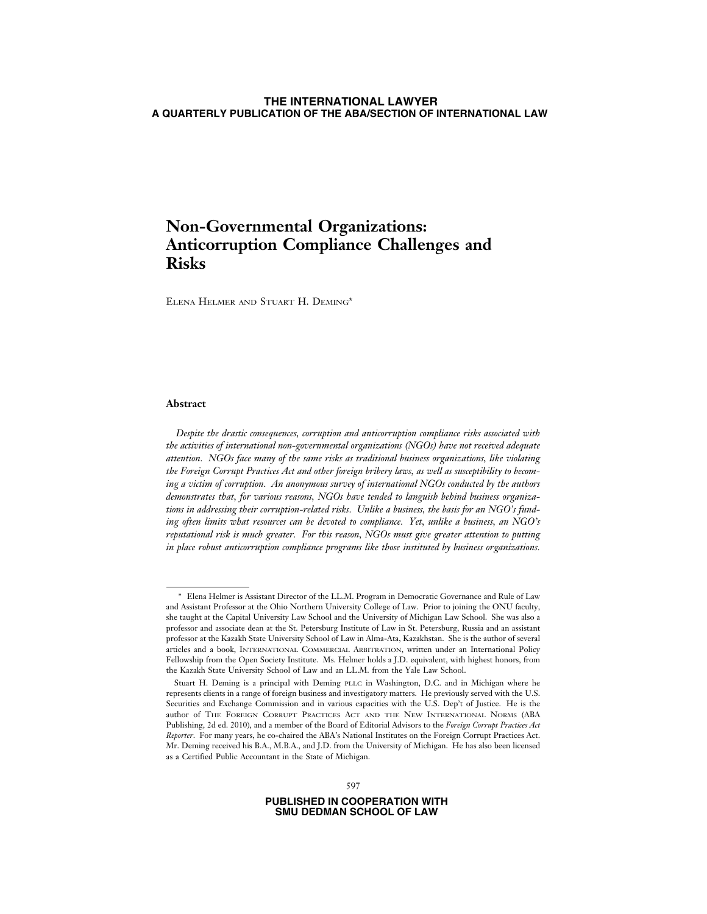# **Non-Governmental Organizations: Anticorruption Compliance Challenges and Risks**

ELENA HELMER AND STUART H. DEMING\*

### **Abstract**

*Despite the drastic consequences, corruption and anticorruption compliance risks associated with the activities of international non-governmental organizations (NGOs) have not received adequate attention. NGOs face many of the same risks as traditional business organizations, like violating the Foreign Corrupt Practices Act and other foreign bribery laws, as well as susceptibility to becoming a victim of corruption. An anonymous survey of international NGOs conducted by the authors demonstrates that, for various reasons, NGOs have tended to languish behind business organizations in addressing their corruption-related risks. Unlike a business, the basis for an NGO's funding often limits what resources can be devoted to compliance. Yet, unlike a business, an NGO's reputational risk is much greater. For this reason, NGOs must give greater attention to putting in place robust anticorruption compliance programs like those instituted by business organizations.*

<sup>\*</sup> Elena Helmer is Assistant Director of the LL.M. Program in Democratic Governance and Rule of Law and Assistant Professor at the Ohio Northern University College of Law. Prior to joining the ONU faculty, she taught at the Capital University Law School and the University of Michigan Law School. She was also a professor and associate dean at the St. Petersburg Institute of Law in St. Petersburg, Russia and an assistant professor at the Kazakh State University School of Law in Alma-Ata, Kazakhstan. She is the author of several articles and a book, INTERNATIONAL COMMERCIAL ARBITRATION, written under an International Policy Fellowship from the Open Society Institute. Ms. Helmer holds a J.D. equivalent, with highest honors, from the Kazakh State University School of Law and an LL.M. from the Yale Law School.

Stuart H. Deming is a principal with Deming PLLC in Washington, D.C. and in Michigan where he represents clients in a range of foreign business and investigatory matters. He previously served with the U.S. Securities and Exchange Commission and in various capacities with the U.S. Dep't of Justice. He is the author of THE FOREIGN CORRUPT PRACTICES ACT AND THE NEW INTERNATIONAL NORMS (ABA Publishing, 2d ed. 2010), and a member of the Board of Editorial Advisors to the *Foreign Corrupt Practices Act Reporter*. For many years, he co-chaired the ABA's National Institutes on the Foreign Corrupt Practices Act. Mr. Deming received his B.A., M.B.A., and J.D. from the University of Michigan. He has also been licensed as a Certified Public Accountant in the State of Michigan.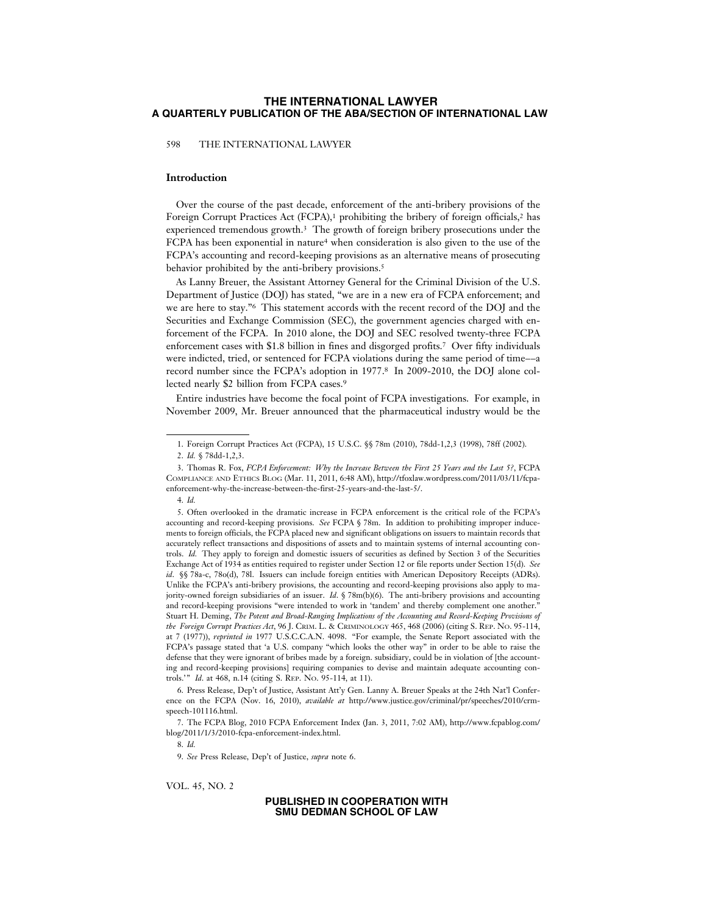598 THE INTERNATIONAL LAWYER

### **Introduction**

Over the course of the past decade, enforcement of the anti-bribery provisions of the Foreign Corrupt Practices Act (FCPA),<sup>1</sup> prohibiting the bribery of foreign officials,<sup>2</sup> has experienced tremendous growth.3 The growth of foreign bribery prosecutions under the FCPA has been exponential in nature4 when consideration is also given to the use of the FCPA's accounting and record-keeping provisions as an alternative means of prosecuting behavior prohibited by the anti-bribery provisions.<sup>5</sup>

As Lanny Breuer, the Assistant Attorney General for the Criminal Division of the U.S. Department of Justice (DOJ) has stated, "we are in a new era of FCPA enforcement; and we are here to stay."6 This statement accords with the recent record of the DOJ and the Securities and Exchange Commission (SEC), the government agencies charged with enforcement of the FCPA. In 2010 alone, the DOJ and SEC resolved twenty-three FCPA enforcement cases with \$1.8 billion in fines and disgorged profits.7 Over fifty individuals were indicted, tried, or sentenced for FCPA violations during the same period of time––a record number since the FCPA's adoption in 1977.8 In 2009-2010, the DOJ alone collected nearly \$2 billion from FCPA cases.9

Entire industries have become the focal point of FCPA investigations. For example, in November 2009, Mr. Breuer announced that the pharmaceutical industry would be the

6. Press Release, Dep't of Justice, Assistant Att'y Gen. Lanny A. Breuer Speaks at the 24th Nat'l Conference on the FCPA (Nov. 16, 2010), *available at* http://www.justice.gov/criminal/pr/speeches/2010/crmspeech-101116.html.

7. The FCPA Blog, 2010 FCPA Enforcement Index (Jan. 3, 2011, 7:02 AM), http://www.fcpablog.com/ blog/2011/1/3/2010-fcpa-enforcement-index.html.

8. *Id.*

9. *See* Press Release, Dep't of Justice, *supra* note 6.

VOL. 45, NO. 2

<sup>1.</sup> Foreign Corrupt Practices Act (FCPA), 15 U.S.C. §§ 78m (2010), 78dd-1,2,3 (1998), 78ff (2002).

<sup>2.</sup> *Id.* § 78dd-1,2,3.

<sup>3.</sup> Thomas R. Fox, *FCPA Enforcement: Why the Increase Between the First 25 Years and the Last 5?*, FCPA COMPLIANCE AND ETHICS BLOG (Mar. 11, 2011, 6:48 AM), http://tfoxlaw.wordpress.com/2011/03/11/fcpaenforcement-why-the-increase-between-the-first-25-years-and-the-last-5/.

<sup>4.</sup> *Id.*

<sup>5.</sup> Often overlooked in the dramatic increase in FCPA enforcement is the critical role of the FCPA's accounting and record-keeping provisions. *See* FCPA § 78m. In addition to prohibiting improper inducements to foreign officials, the FCPA placed new and significant obligations on issuers to maintain records that accurately reflect transactions and dispositions of assets and to maintain systems of internal accounting controls. *Id.* They apply to foreign and domestic issuers of securities as defined by Section 3 of the Securities Exchange Act of 1934 as entities required to register under Section 12 or file reports under Section 15(d). *See id*. §§ 78a-c, 78o(d), 78l. Issuers can include foreign entities with American Depository Receipts (ADRs). Unlike the FCPA's anti-bribery provisions, the accounting and record-keeping provisions also apply to majority-owned foreign subsidiaries of an issuer. *Id*. § 78m(b)(6). The anti-bribery provisions and accounting and record-keeping provisions "were intended to work in 'tandem' and thereby complement one another." Stuart H. Deming, *The Potent and Broad-Ranging Implications of the Accounting and Record-Keeping Provisions of the Foreign Corrupt Practices Act*, 96 J. CRIM. L. & CRIMINOLOGY 465, 468 (2006) (citing S. REP. NO. 95-114, at 7 (1977)), *reprinted in* 1977 U.S.C.C.A.N. 4098. "For example, the Senate Report associated with the FCPA's passage stated that 'a U.S. company "which looks the other way" in order to be able to raise the defense that they were ignorant of bribes made by a foreign. subsidiary, could be in violation of [the accounting and record-keeping provisions] requiring companies to devise and maintain adequate accounting controls.'" *Id*. at 468, n.14 (citing S. REP. NO. 95-114, at 11).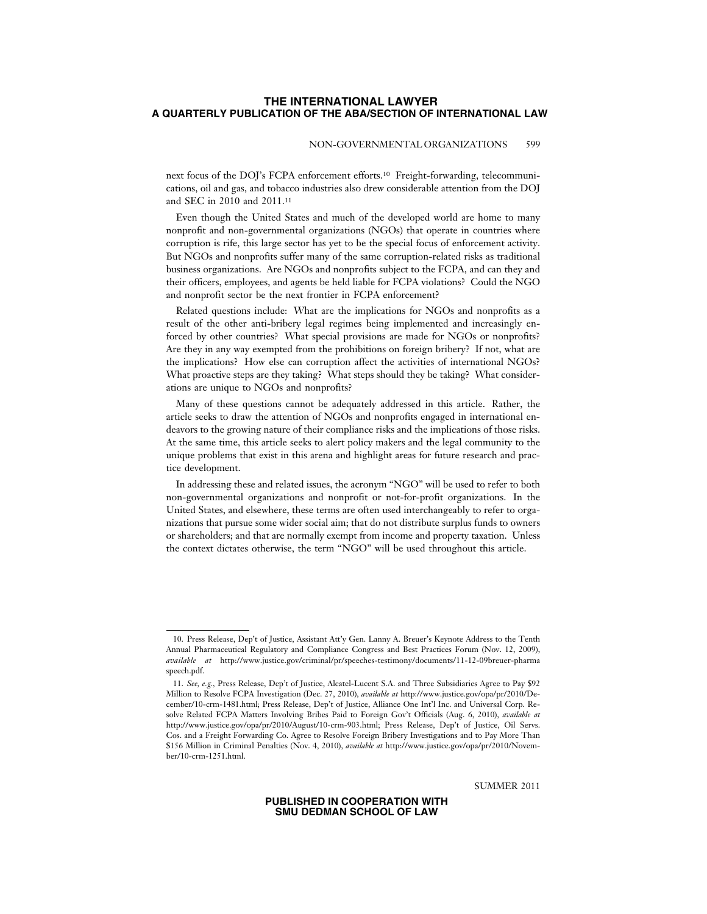### NON-GOVERNMENTAL ORGANIZATIONS 599

next focus of the DOJ's FCPA enforcement efforts.10 Freight-forwarding, telecommunications, oil and gas, and tobacco industries also drew considerable attention from the DOJ and SEC in 2010 and 2011.11

Even though the United States and much of the developed world are home to many nonprofit and non-governmental organizations (NGOs) that operate in countries where corruption is rife, this large sector has yet to be the special focus of enforcement activity. But NGOs and nonprofits suffer many of the same corruption-related risks as traditional business organizations. Are NGOs and nonprofits subject to the FCPA, and can they and their officers, employees, and agents be held liable for FCPA violations? Could the NGO and nonprofit sector be the next frontier in FCPA enforcement?

Related questions include: What are the implications for NGOs and nonprofits as a result of the other anti-bribery legal regimes being implemented and increasingly enforced by other countries? What special provisions are made for NGOs or nonprofits? Are they in any way exempted from the prohibitions on foreign bribery? If not, what are the implications? How else can corruption affect the activities of international NGOs? What proactive steps are they taking? What steps should they be taking? What considerations are unique to NGOs and nonprofits?

Many of these questions cannot be adequately addressed in this article. Rather, the article seeks to draw the attention of NGOs and nonprofits engaged in international endeavors to the growing nature of their compliance risks and the implications of those risks. At the same time, this article seeks to alert policy makers and the legal community to the unique problems that exist in this arena and highlight areas for future research and practice development.

In addressing these and related issues, the acronym "NGO" will be used to refer to both non-governmental organizations and nonprofit or not-for-profit organizations. In the United States, and elsewhere, these terms are often used interchangeably to refer to organizations that pursue some wider social aim; that do not distribute surplus funds to owners or shareholders; and that are normally exempt from income and property taxation. Unless the context dictates otherwise, the term "NGO" will be used throughout this article.

SUMMER 2011

<sup>10.</sup> Press Release, Dep't of Justice, Assistant Att'y Gen. Lanny A. Breuer's Keynote Address to the Tenth Annual Pharmaceutical Regulatory and Compliance Congress and Best Practices Forum (Nov. 12, 2009), *available at* http://www.justice.gov/criminal/pr/speeches-testimony/documents/11-12-09breuer-pharma speech.pdf.

<sup>11.</sup> *See, e.g.,* Press Release, Dep't of Justice, Alcatel-Lucent S.A. and Three Subsidiaries Agree to Pay \$92 Million to Resolve FCPA Investigation (Dec. 27, 2010), *available at* http://www.justice.gov/opa/pr/2010/December/10-crm-1481.html; Press Release, Dep't of Justice, Alliance One Int'l Inc. and Universal Corp. Resolve Related FCPA Matters Involving Bribes Paid to Foreign Gov't Officials (Aug. 6, 2010), *available at* http://www.justice.gov/opa/pr/2010/August/10-crm-903.html; Press Release, Dep't of Justice, Oil Servs. Cos. and a Freight Forwarding Co. Agree to Resolve Foreign Bribery Investigations and to Pay More Than \$156 Million in Criminal Penalties (Nov. 4, 2010), *available at* http://www.justice.gov/opa/pr/2010/November/10-crm-1251.html.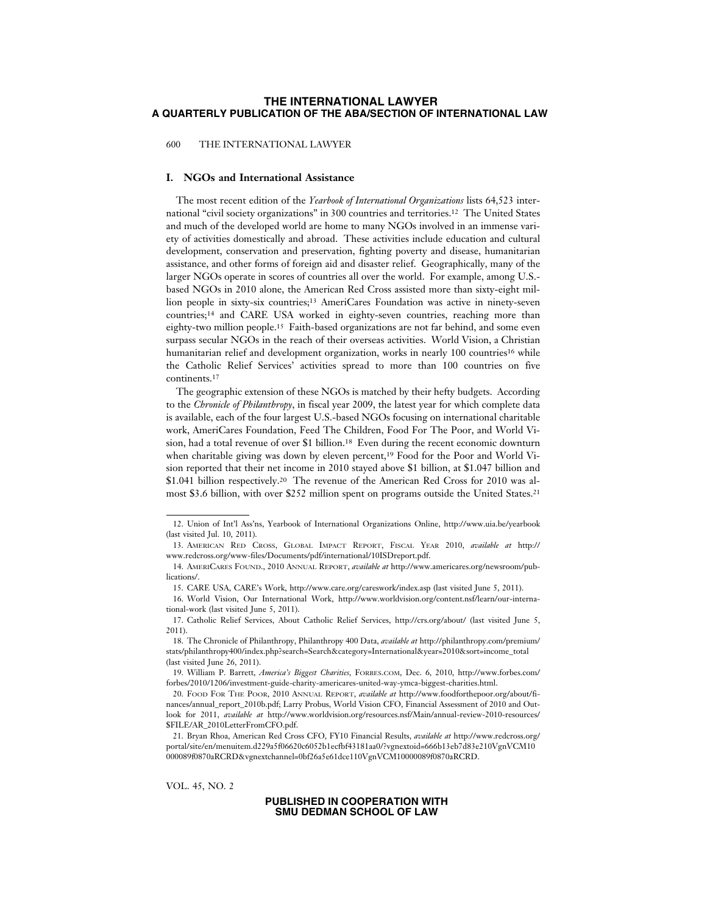600 THE INTERNATIONAL LAWYER

### **I. NGOs and International Assistance**

The most recent edition of the *Yearbook of International Organizations* lists 64,523 international "civil society organizations" in 300 countries and territories.12 The United States and much of the developed world are home to many NGOs involved in an immense variety of activities domestically and abroad. These activities include education and cultural development, conservation and preservation, fighting poverty and disease, humanitarian assistance, and other forms of foreign aid and disaster relief. Geographically, many of the larger NGOs operate in scores of countries all over the world. For example, among U.S. based NGOs in 2010 alone, the American Red Cross assisted more than sixty-eight million people in sixty-six countries;13 AmeriCares Foundation was active in ninety-seven countries;14 and CARE USA worked in eighty-seven countries, reaching more than eighty-two million people.15 Faith-based organizations are not far behind, and some even surpass secular NGOs in the reach of their overseas activities. World Vision, a Christian humanitarian relief and development organization, works in nearly 100 countries<sup>16</sup> while the Catholic Relief Services' activities spread to more than 100 countries on five continents.17

The geographic extension of these NGOs is matched by their hefty budgets. According to the *Chronicle of Philanthropy*, in fiscal year 2009, the latest year for which complete data is available, each of the four largest U.S.-based NGOs focusing on international charitable work, AmeriCares Foundation, Feed The Children, Food For The Poor, and World Vision, had a total revenue of over \$1 billion.18 Even during the recent economic downturn when charitable giving was down by eleven percent,19 Food for the Poor and World Vision reported that their net income in 2010 stayed above \$1 billion, at \$1.047 billion and \$1.041 billion respectively.20 The revenue of the American Red Cross for 2010 was almost \$3.6 billion, with over \$252 million spent on programs outside the United States.21

VOL. 45, NO. 2

<sup>12.</sup> Union of Int'l Ass'ns, Yearbook of International Organizations Online, http://www.uia.be/yearbook (last visited Jul. 10, 2011).

<sup>13.</sup> AMERICAN RED CROSS, GLOBAL IMPACT REPORT, FISCAL YEAR 2010, *available at* http:// www.redcross.org/www-files/Documents/pdf/international/10ISDreport.pdf.

<sup>14.</sup> AMERICARES FOUND., 2010 ANNUAL REPORT, *available at* http://www.americares.org/newsroom/publications/.

<sup>15.</sup> CARE USA, CARE's Work, http://www.care.org/careswork/index.asp (last visited June 5, 2011).

<sup>16.</sup> World Vision, Our International Work, http://www.worldvision.org/content.nsf/learn/our-international-work (last visited June 5, 2011).

<sup>17.</sup> Catholic Relief Services, About Catholic Relief Services, http://crs.org/about/ (last visited June 5, 2011).

<sup>18.</sup> The Chronicle of Philanthropy, Philanthropy 400 Data, *available at* http://philanthropy.com/premium/ stats/philanthropy400/index.php?search=Search&category=International&year=2010&sort=income\_total (last visited June 26, 2011).

<sup>19.</sup> William P. Barrett, *America's Biggest Charities*, FORBES.COM, Dec. 6, 2010, http://www.forbes.com/ forbes/2010/1206/investment-guide-charity-americares-united-way-ymca-biggest-charities.html.

<sup>20.</sup> FOOD FOR THE POOR, 2010 ANNUAL REPORT, *available at* http://www.foodforthepoor.org/about/finances/annual\_report\_2010b.pdf; Larry Probus, World Vision CFO, Financial Assessment of 2010 and Outlook for 2011, *available at* http://www.worldvision.org/resources.nsf/Main/annual-review-2010-resources/ \$FILE/AR\_2010LetterFromCFO.pdf.

<sup>21.</sup> Bryan Rhoa, American Red Cross CFO, FY10 Financial Results, *available at* http://www.redcross.org/ portal/site/en/menuitem.d229a5f06620c6052b1ecfbf43181aa0/?vgnextoid=666b13eb7d83e210VgnVCM10 000089f0870aRCRD&vgnextchannel=0bf26a5e61dce110VgnVCM10000089f0870aRCRD.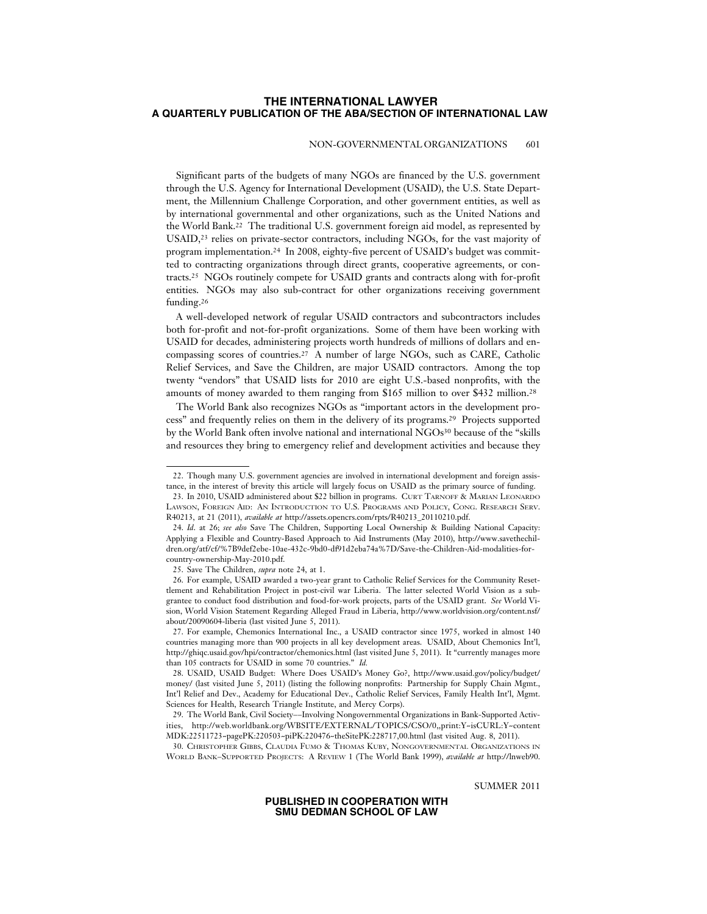### NON-GOVERNMENTAL ORGANIZATIONS 601

Significant parts of the budgets of many NGOs are financed by the U.S. government through the U.S. Agency for International Development (USAID), the U.S. State Department, the Millennium Challenge Corporation, and other government entities, as well as by international governmental and other organizations, such as the United Nations and the World Bank.22 The traditional U.S. government foreign aid model, as represented by USAID,<sup>23</sup> relies on private-sector contractors, including NGOs, for the vast majority of program implementation.24 In 2008, eighty-five percent of USAID's budget was committed to contracting organizations through direct grants, cooperative agreements, or contracts.25 NGOs routinely compete for USAID grants and contracts along with for-profit entities. NGOs may also sub-contract for other organizations receiving government funding.26

A well-developed network of regular USAID contractors and subcontractors includes both for-profit and not-for-profit organizations. Some of them have been working with USAID for decades, administering projects worth hundreds of millions of dollars and encompassing scores of countries.27 A number of large NGOs, such as CARE, Catholic Relief Services, and Save the Children, are major USAID contractors. Among the top twenty "vendors" that USAID lists for 2010 are eight U.S.-based nonprofits, with the amounts of money awarded to them ranging from \$165 million to over \$432 million.28

The World Bank also recognizes NGOs as "important actors in the development process" and frequently relies on them in the delivery of its programs.29 Projects supported by the World Bank often involve national and international NGOs<sup>30</sup> because of the "skills" and resources they bring to emergency relief and development activities and because they

30. CHRISTOPHER GIBBS, CLAUDIA FUMO & THOMAS KUBY, NONGOVERNMENTAL ORGANIZATIONS IN WORLD BANK–SUPPORTED PROJECTS: A REVIEW 1 (The World Bank 1999), *available at* http://lnweb90.

SUMMER 2011

<sup>22.</sup> Though many U.S. government agencies are involved in international development and foreign assistance, in the interest of brevity this article will largely focus on USAID as the primary source of funding.

<sup>23.</sup> In 2010, USAID administered about \$22 billion in programs. CURT TARNOFF & MARIAN LEONARDO LAWSON, FOREIGN AID: AN INTRODUCTION TO U.S. PROGRAMS AND POLICY, CONG. RESEARCH SERV. R40213, at 21 (2011), *available at* http://assets.opencrs.com/rpts/R40213\_20110210.pdf.

<sup>24.</sup> *Id*. at 26; *see also* Save The Children, Supporting Local Ownership & Building National Capacity: Applying a Flexible and Country-Based Approach to Aid Instruments (May 2010), http://www.savethechildren.org/atf/cf/%7B9def2ebe-10ae-432c-9bd0-df91d2eba74a%7D/Save-the-Children-Aid-modalities-forcountry-ownership-May-2010.pdf.

<sup>25.</sup> Save The Children, *supra* note 24, at 1.

<sup>26.</sup> For example, USAID awarded a two-year grant to Catholic Relief Services for the Community Resettlement and Rehabilitation Project in post-civil war Liberia. The latter selected World Vision as a subgrantee to conduct food distribution and food-for-work projects, parts of the USAID grant. *See* World Vision, World Vision Statement Regarding Alleged Fraud in Liberia, http://www.worldvision.org/content.nsf/ about/20090604-liberia (last visited June 5, 2011).

<sup>27.</sup> For example, Chemonics International Inc., a USAID contractor since 1975, worked in almost 140 countries managing more than 900 projects in all key development areas. USAID, About Chemonics Int'l, http://ghiqc.usaid.gov/hpi/contractor/chemonics.html (last visited June 5, 2011). It "currently manages more than 105 contracts for USAID in some 70 countries." *Id.*

<sup>28.</sup> USAID, USAID Budget: Where Does USAID's Money Go?, http://www.usaid.gov/policy/budget/ money/ (last visited June 5, 2011) (listing the following nonprofits: Partnership for Supply Chain Mgmt., Int'l Relief and Dev., Academy for Educational Dev., Catholic Relief Services, Family Health Int'l, Mgmt. Sciences for Health, Research Triangle Institute, and Mercy Corps).

<sup>29.</sup> The World Bank, Civil Society––Involving Nongovernmental Organizations in Bank-Supported Activities, http://web.worldbank.org/WBSITE/EXTERNAL/TOPICS/CSO/0,,print:Y~isCURL:Y~content MDK:22511723~pagePK:220503~piPK:220476~theSitePK:228717,00.html (last visited Aug. 8, 2011).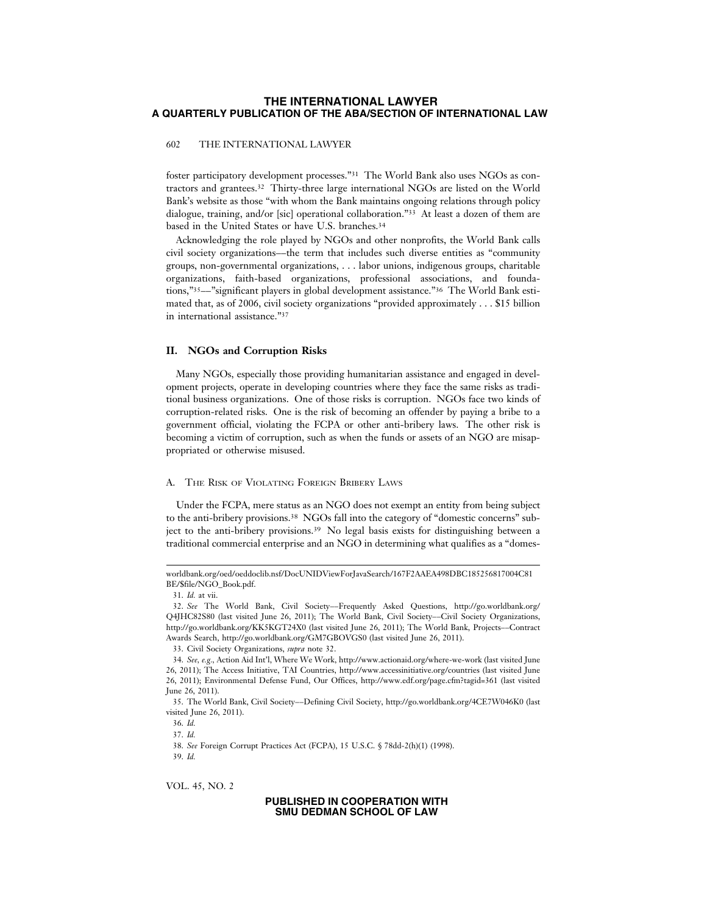### 602 THE INTERNATIONAL LAWYER

foster participatory development processes."31 The World Bank also uses NGOs as contractors and grantees.32 Thirty-three large international NGOs are listed on the World Bank's website as those "with whom the Bank maintains ongoing relations through policy dialogue, training, and/or [sic] operational collaboration."33 At least a dozen of them are based in the United States or have U.S. branches.34

Acknowledging the role played by NGOs and other nonprofits, the World Bank calls civil society organizations––the term that includes such diverse entities as "community groups, non-governmental organizations, . . . labor unions, indigenous groups, charitable organizations, faith-based organizations, professional associations, and foundations,"35––"significant players in global development assistance."36 The World Bank estimated that, as of 2006, civil society organizations "provided approximately . . . \$15 billion in international assistance."37

### **II. NGOs and Corruption Risks**

Many NGOs, especially those providing humanitarian assistance and engaged in development projects, operate in developing countries where they face the same risks as traditional business organizations. One of those risks is corruption. NGOs face two kinds of corruption-related risks. One is the risk of becoming an offender by paying a bribe to a government official, violating the FCPA or other anti-bribery laws. The other risk is becoming a victim of corruption, such as when the funds or assets of an NGO are misappropriated or otherwise misused.

### A. THE RISK OF VIOLATING FOREIGN BRIBERY LAWS

Under the FCPA, mere status as an NGO does not exempt an entity from being subject to the anti-bribery provisions.38 NGOs fall into the category of "domestic concerns" subject to the anti-bribery provisions.39 No legal basis exists for distinguishing between a traditional commercial enterprise and an NGO in determining what qualifies as a "domes-

37. *Id.*

38. *See* Foreign Corrupt Practices Act (FCPA), 15 U.S.C. § 78dd-2(h)(1) (1998). 39. *Id.*

VOL. 45, NO. 2

worldbank.org/oed/oeddoclib.nsf/DocUNIDViewForJavaSearch/167F2AAEA498DBC185256817004C81 BE/\$file/NGO\_Book.pdf.

<sup>31.</sup> *Id.* at vii.

<sup>32.</sup> *See* The World Bank, Civil Society––Frequently Asked Questions, http://go.worldbank.org/ Q4JHC82S80 (last visited June 26, 2011); The World Bank, Civil Society––Civil Society Organizations, http://go.worldbank.org/KK5KGT24X0 (last visited June 26, 2011); The World Bank, Projects––Contract Awards Search, http://go.worldbank.org/GM7GBOVGS0 (last visited June 26, 2011).

<sup>33.</sup> Civil Society Organizations, *supra* note 32.

<sup>34.</sup> *See, e.g.,* Action Aid Int'l, Where We Work, http://www.actionaid.org/where-we-work (last visited June 26, 2011); The Access Initiative, TAI Countries, http://www.accessinitiative.org/countries (last visited June 26, 2011); Environmental Defense Fund, Our Offices, http://www.edf.org/page.cfm?tagid=361 (last visited June 26, 2011).

<sup>35.</sup> The World Bank, Civil Society––Defining Civil Society, http://go.worldbank.org/4CE7W046K0 (last visited June 26, 2011).

<sup>36.</sup> *Id.*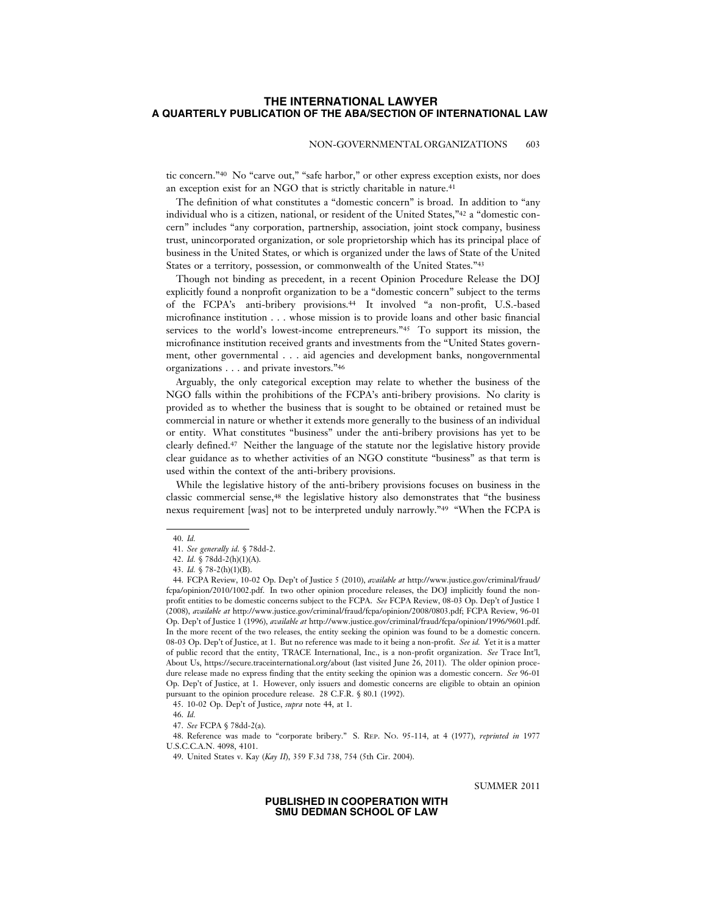### NON-GOVERNMENTAL ORGANIZATIONS 603

tic concern."40 No "carve out," "safe harbor," or other express exception exists, nor does an exception exist for an NGO that is strictly charitable in nature.<sup>41</sup>

The definition of what constitutes a "domestic concern" is broad. In addition to "any individual who is a citizen, national, or resident of the United States,"42 a "domestic concern" includes "any corporation, partnership, association, joint stock company, business trust, unincorporated organization, or sole proprietorship which has its principal place of business in the United States, or which is organized under the laws of State of the United States or a territory, possession, or commonwealth of the United States."43

Though not binding as precedent, in a recent Opinion Procedure Release the DOJ explicitly found a nonprofit organization to be a "domestic concern" subject to the terms of the FCPA's anti-bribery provisions.44 It involved "a non-profit, U.S.-based microfinance institution . . . whose mission is to provide loans and other basic financial services to the world's lowest-income entrepreneurs."45 To support its mission, the microfinance institution received grants and investments from the "United States government, other governmental . . . aid agencies and development banks, nongovernmental organizations . . . and private investors."46

Arguably, the only categorical exception may relate to whether the business of the NGO falls within the prohibitions of the FCPA's anti-bribery provisions. No clarity is provided as to whether the business that is sought to be obtained or retained must be commercial in nature or whether it extends more generally to the business of an individual or entity. What constitutes "business" under the anti-bribery provisions has yet to be clearly defined.47 Neither the language of the statute nor the legislative history provide clear guidance as to whether activities of an NGO constitute "business" as that term is used within the context of the anti-bribery provisions.

While the legislative history of the anti-bribery provisions focuses on business in the classic commercial sense,48 the legislative history also demonstrates that "the business nexus requirement [was] not to be interpreted unduly narrowly."49 "When the FCPA is

48. Reference was made to "corporate bribery." S. REP. NO. 95-114, at 4 (1977), *reprinted in* 1977 U.S.C.C.A.N. 4098, 4101.

SUMMER 2011

<sup>40.</sup> *Id.*

<sup>41.</sup> *See generally id*. § 78dd-2.

<sup>42.</sup> *Id.* § 78dd-2(h)(1)(A).

<sup>43.</sup> *Id.* § 78-2(h)(1)(B).

<sup>44.</sup> FCPA Review, 10-02 Op. Dep't of Justice 5 (2010), *available at* http://www.justice.gov/criminal/fraud/ fcpa/opinion/2010/1002.pdf. In two other opinion procedure releases, the DOJ implicitly found the nonprofit entities to be domestic concerns subject to the FCPA. *See* FCPA Review, 08-03 Op. Dep't of Justice 1 (2008), *available at* http://www.justice.gov/criminal/fraud/fcpa/opinion/2008/0803.pdf; FCPA Review, 96-01 Op. Dep't of Justice 1 (1996), *available at* http://www.justice.gov/criminal/fraud/fcpa/opinion/1996/9601.pdf. In the more recent of the two releases, the entity seeking the opinion was found to be a domestic concern. 08-03 Op. Dep't of Justice, at 1. But no reference was made to it being a non-profit. *See id.* Yet it is a matter of public record that the entity, TRACE International, Inc., is a non-profit organization. *See* Trace Int'l, About Us, https://secure.traceinternational.org/about (last visited June 26, 2011). The older opinion procedure release made no express finding that the entity seeking the opinion was a domestic concern. *See* 96-01 Op. Dep't of Justice, at 1. However, only issuers and domestic concerns are eligible to obtain an opinion pursuant to the opinion procedure release. 28 C.F.R. § 80.1 (1992).

<sup>45. 10-02</sup> Op. Dep't of Justice, *supra* note 44, at 1.

<sup>46.</sup> *Id.*

<sup>47.</sup> *See* FCPA § 78dd-2(a).

<sup>49.</sup> United States v. Kay (*Kay II*), 359 F.3d 738, 754 (5th Cir. 2004).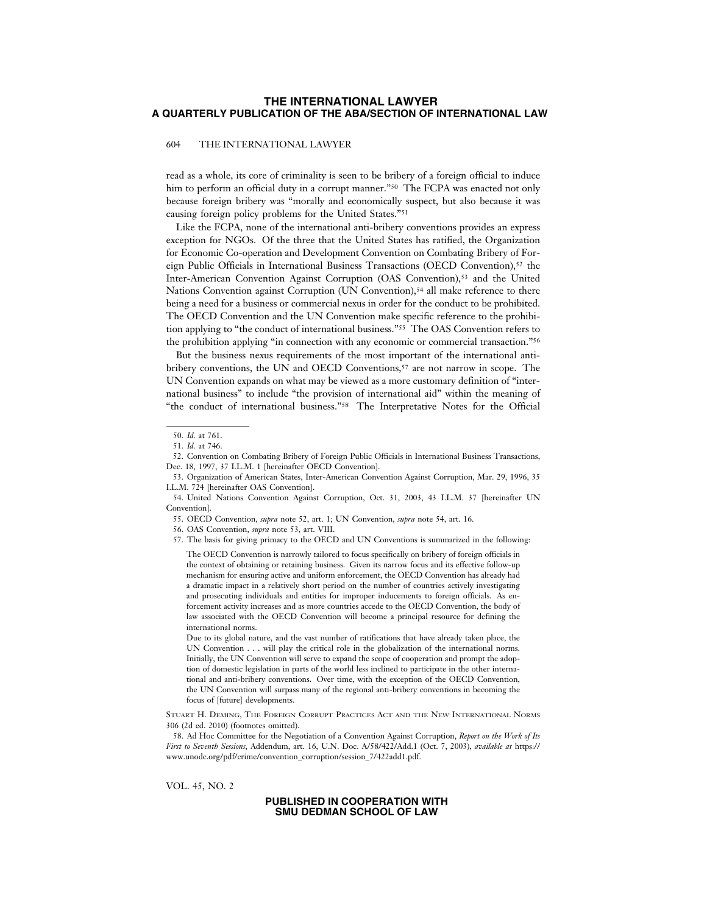### 604 THE INTERNATIONAL LAWYER

read as a whole, its core of criminality is seen to be bribery of a foreign official to induce him to perform an official duty in a corrupt manner."<sup>50</sup> The FCPA was enacted not only because foreign bribery was "morally and economically suspect, but also because it was causing foreign policy problems for the United States."51

Like the FCPA, none of the international anti-bribery conventions provides an express exception for NGOs. Of the three that the United States has ratified, the Organization for Economic Co-operation and Development Convention on Combating Bribery of Foreign Public Officials in International Business Transactions (OECD Convention),52 the Inter-American Convention Against Corruption (OAS Convention),53 and the United Nations Convention against Corruption (UN Convention),<sup>54</sup> all make reference to there being a need for a business or commercial nexus in order for the conduct to be prohibited. The OECD Convention and the UN Convention make specific reference to the prohibition applying to "the conduct of international business."55 The OAS Convention refers to the prohibition applying "in connection with any economic or commercial transaction."56

But the business nexus requirements of the most important of the international antibribery conventions, the UN and OECD Conventions,<sup>57</sup> are not narrow in scope. The UN Convention expands on what may be viewed as a more customary definition of "international business" to include "the provision of international aid" within the meaning of "the conduct of international business."58 The Interpretative Notes for the Official

55. OECD Convention, *supra* note 52, art. 1; UN Convention, *supra* note 54, art. 16.

57. The basis for giving primacy to the OECD and UN Conventions is summarized in the following:

The OECD Convention is narrowly tailored to focus specifically on bribery of foreign officials in the context of obtaining or retaining business. Given its narrow focus and its effective follow-up mechanism for ensuring active and uniform enforcement, the OECD Convention has already had a dramatic impact in a relatively short period on the number of countries actively investigating and prosecuting individuals and entities for improper inducements to foreign officials. As enforcement activity increases and as more countries accede to the OECD Convention, the body of law associated with the OECD Convention will become a principal resource for defining the international norms.

VOL. 45, NO. 2

<sup>50.</sup> *Id.* at 761.

<sup>51.</sup> *Id.* at 746.

<sup>52.</sup> Convention on Combating Bribery of Foreign Public Officials in International Business Transactions, Dec. 18, 1997, 37 I.L.M. 1 [hereinafter OECD Convention].

<sup>53.</sup> Organization of American States, Inter-American Convention Against Corruption, Mar. 29, 1996, 35 I.L.M. 724 [hereinafter OAS Convention].

<sup>54.</sup> United Nations Convention Against Corruption, Oct. 31, 2003, 43 I.L.M. 37 [hereinafter UN Convention].

<sup>56.</sup> OAS Convention, *supra* note 53, art. VIII.

Due to its global nature, and the vast number of ratifications that have already taken place, the UN Convention . . . will play the critical role in the globalization of the international norms. Initially, the UN Convention will serve to expand the scope of cooperation and prompt the adoption of domestic legislation in parts of the world less inclined to participate in the other international and anti-bribery conventions. Over time, with the exception of the OECD Convention, the UN Convention will surpass many of the regional anti-bribery conventions in becoming the focus of [future] developments.

STUART H. DEMING, THE FOREIGN CORRUPT PRACTICES ACT AND THE NEW INTERNATIONAL NORMS 306 (2d ed. 2010) (footnotes omitted).

<sup>58.</sup> Ad Hoc Committee for the Negotiation of a Convention Against Corruption, *Report on the Work of Its First to Seventh Sessions*, Addendum, art. 16, U.N. Doc. A/58/422/Add.1 (Oct. 7, 2003), *available at* https:// www.unodc.org/pdf/crime/convention\_corruption/session\_7/422add1.pdf.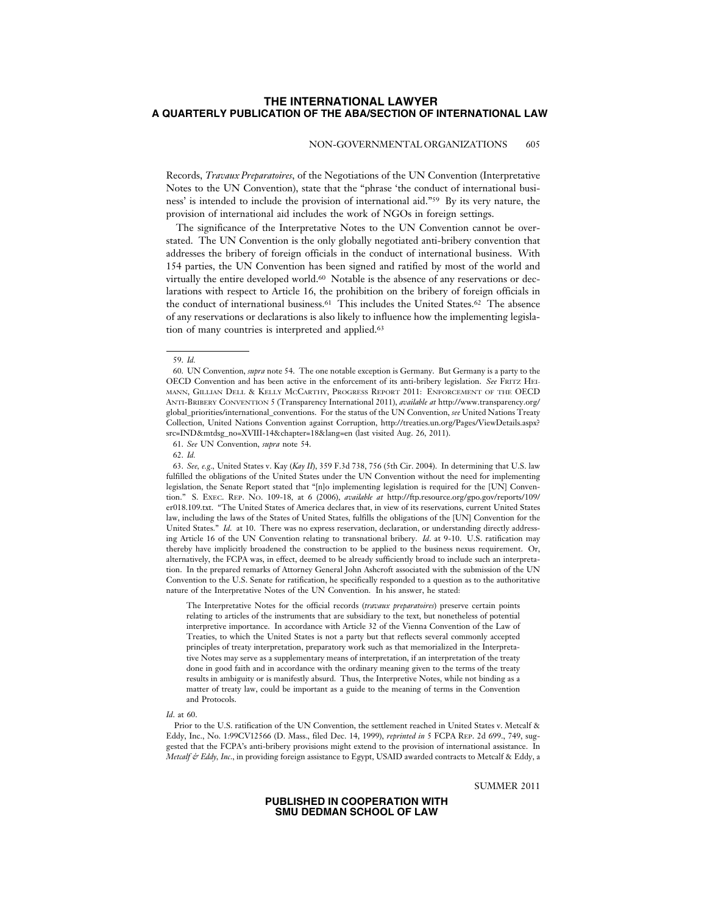#### NON-GOVERNMENTAL ORGANIZATIONS 605

Records, *Travaux Preparatoires*, of the Negotiations of the UN Convention (Interpretative Notes to the UN Convention), state that the "phrase 'the conduct of international business' is intended to include the provision of international aid."59 By its very nature, the provision of international aid includes the work of NGOs in foreign settings.

The significance of the Interpretative Notes to the UN Convention cannot be overstated. The UN Convention is the only globally negotiated anti-bribery convention that addresses the bribery of foreign officials in the conduct of international business. With 154 parties, the UN Convention has been signed and ratified by most of the world and virtually the entire developed world.60 Notable is the absence of any reservations or declarations with respect to Article 16, the prohibition on the bribery of foreign officials in the conduct of international business.61 This includes the United States.62 The absence of any reservations or declarations is also likely to influence how the implementing legislation of many countries is interpreted and applied.<sup>63</sup>

63. *See, e.g.,* United States v. Kay (*Kay II*), 359 F.3d 738, 756 (5th Cir. 2004). In determining that U.S. law fulfilled the obligations of the United States under the UN Convention without the need for implementing legislation, the Senate Report stated that "[n]o implementing legislation is required for the [UN] Convention." S. EXEC. REP. NO. 109-18, at 6 (2006), *available at* http://ftp.resource.org/gpo.gov/reports/109/ er018.109.txt. "The United States of America declares that, in view of its reservations, current United States law, including the laws of the States of United States, fulfills the obligations of the [UN] Convention for the United States." *Id.* at 10. There was no express reservation, declaration, or understanding directly addressing Article 16 of the UN Convention relating to transnational bribery. *Id*. at 9-10. U.S. ratification may thereby have implicitly broadened the construction to be applied to the business nexus requirement. Or, alternatively, the FCPA was, in effect, deemed to be already sufficiently broad to include such an interpretation. In the prepared remarks of Attorney General John Ashcroft associated with the submission of the UN Convention to the U.S. Senate for ratification, he specifically responded to a question as to the authoritative nature of the Interpretative Notes of the UN Convention. In his answer, he stated:

The Interpretative Notes for the official records (*travaux preparatoires*) preserve certain points relating to articles of the instruments that are subsidiary to the text, but nonetheless of potential interpretive importance. In accordance with Article 32 of the Vienna Convention of the Law of Treaties, to which the United States is not a party but that reflects several commonly accepted principles of treaty interpretation, preparatory work such as that memorialized in the Interpretative Notes may serve as a supplementary means of interpretation, if an interpretation of the treaty done in good faith and in accordance with the ordinary meaning given to the terms of the treaty results in ambiguity or is manifestly absurd. Thus, the Interpretive Notes, while not binding as a matter of treaty law, could be important as a guide to the meaning of terms in the Convention and Protocols.

#### *Id*. at 60.

Prior to the U.S. ratification of the UN Convention, the settlement reached in United States v. Metcalf & Eddy, Inc., No. 1:99CV12566 (D. Mass., filed Dec. 14, 1999), *reprinted in* 5 FCPA REP. 2d 699., 749, suggested that the FCPA's anti-bribery provisions might extend to the provision of international assistance. In *Metcalf & Eddy, Inc*., in providing foreign assistance to Egypt, USAID awarded contracts to Metcalf & Eddy, a

SUMMER 2011

<sup>59.</sup> *Id.*

<sup>60.</sup> UN Convention, *supra* note 54. The one notable exception is Germany. But Germany is a party to the OECD Convention and has been active in the enforcement of its anti-bribery legislation. *See* FRITZ HEI-MANN, GILLIAN DELL & KELLY MCCARTHY, PROGRESS REPORT 2011: ENFORCEMENT OF THE OECD ANTI-BRIBERY CONVENTION 5 (Transparency International 2011), *available at* http://www.transparency.org/ global\_priorities/international\_conventions. For the status of the UN Convention, *see* United Nations Treaty Collection, United Nations Convention against Corruption, http://treaties.un.org/Pages/ViewDetails.aspx? src=IND&mtdsg\_no=XVIII-14&chapter=18&lang=en (last visited Aug. 26, 2011).

<sup>61.</sup> *See* UN Convention, *supra* note 54.

<sup>62.</sup> *Id.*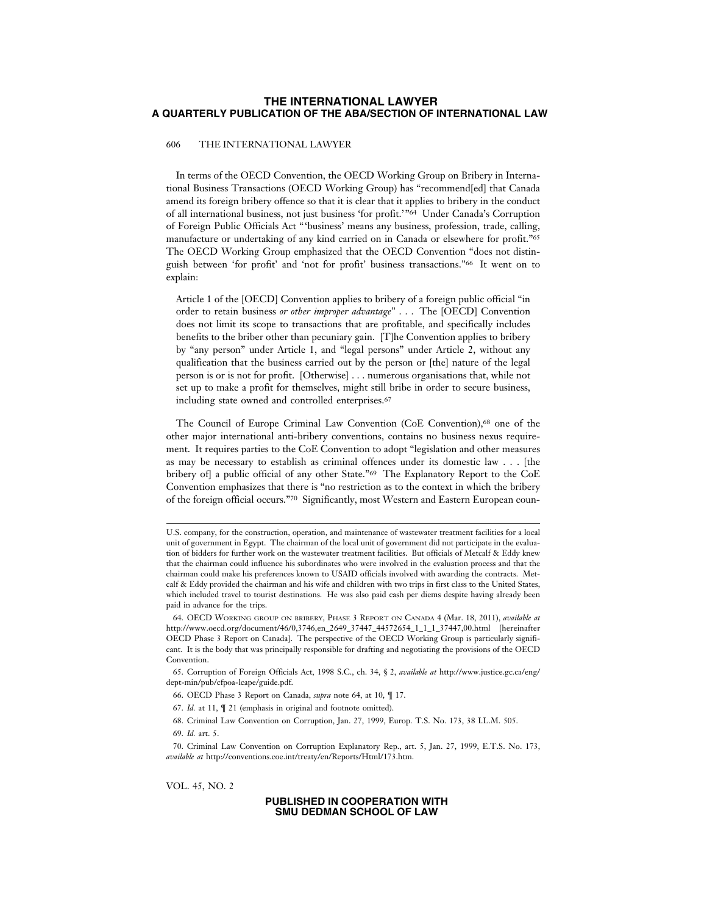### 606 THE INTERNATIONAL LAWYER

In terms of the OECD Convention, the OECD Working Group on Bribery in International Business Transactions (OECD Working Group) has "recommend[ed] that Canada amend its foreign bribery offence so that it is clear that it applies to bribery in the conduct of all international business, not just business 'for profit.'"64 Under Canada's Corruption of Foreign Public Officials Act "'business' means any business, profession, trade, calling, manufacture or undertaking of any kind carried on in Canada or elsewhere for profit."65 The OECD Working Group emphasized that the OECD Convention "does not distinguish between 'for profit' and 'not for profit' business transactions."66 It went on to explain:

Article 1 of the [OECD] Convention applies to bribery of a foreign public official "in order to retain business *or other improper advantage*" . . . The [OECD] Convention does not limit its scope to transactions that are profitable, and specifically includes benefits to the briber other than pecuniary gain. [T]he Convention applies to bribery by "any person" under Article 1, and "legal persons" under Article 2, without any qualification that the business carried out by the person or [the] nature of the legal person is or is not for profit. [Otherwise] . . . numerous organisations that, while not set up to make a profit for themselves, might still bribe in order to secure business, including state owned and controlled enterprises.67

The Council of Europe Criminal Law Convention (CoE Convention),68 one of the other major international anti-bribery conventions, contains no business nexus requirement. It requires parties to the CoE Convention to adopt "legislation and other measures as may be necessary to establish as criminal offences under its domestic law . . . [the bribery of] a public official of any other State."69 The Explanatory Report to the CoE Convention emphasizes that there is "no restriction as to the context in which the bribery of the foreign official occurs."70 Significantly, most Western and Eastern European coun-

69. *Id.* art. 5.

VOL. 45, NO. 2

U.S. company, for the construction, operation, and maintenance of wastewater treatment facilities for a local unit of government in Egypt. The chairman of the local unit of government did not participate in the evaluation of bidders for further work on the wastewater treatment facilities. But officials of Metcalf & Eddy knew that the chairman could influence his subordinates who were involved in the evaluation process and that the chairman could make his preferences known to USAID officials involved with awarding the contracts. Metcalf & Eddy provided the chairman and his wife and children with two trips in first class to the United States, which included travel to tourist destinations. He was also paid cash per diems despite having already been paid in advance for the trips.

<sup>64.</sup> OECD WORKING GROUP ON BRIBERY, PHASE 3 REPORT ON CANADA 4 (Mar. 18, 2011), *available at* http://www.oecd.org/document/46/0,3746,en\_2649\_37447\_44572654\_1\_1\_1\_37447,00.html [hereinafter OECD Phase 3 Report on Canada]. The perspective of the OECD Working Group is particularly significant. It is the body that was principally responsible for drafting and negotiating the provisions of the OECD Convention.

<sup>65.</sup> Corruption of Foreign Officials Act, 1998 S.C., ch. 34, § 2, *available at* http://www.justice.gc.ca/eng/ dept-min/pub/cfpoa-lcape/guide.pdf.

<sup>66.</sup> OECD Phase 3 Report on Canada, *supra* note 64, at 10, ¶ 17.

<sup>67.</sup> *Id.* at 11, ¶ 21 (emphasis in original and footnote omitted).

<sup>68.</sup> Criminal Law Convention on Corruption, Jan. 27, 1999, Europ. T.S. No. 173, 38 I.L.M. 505.

<sup>70.</sup> Criminal Law Convention on Corruption Explanatory Rep., art. 5, Jan. 27, 1999, E.T.S. No. 173, *available at* http://conventions.coe.int/treaty/en/Reports/Html/173.htm.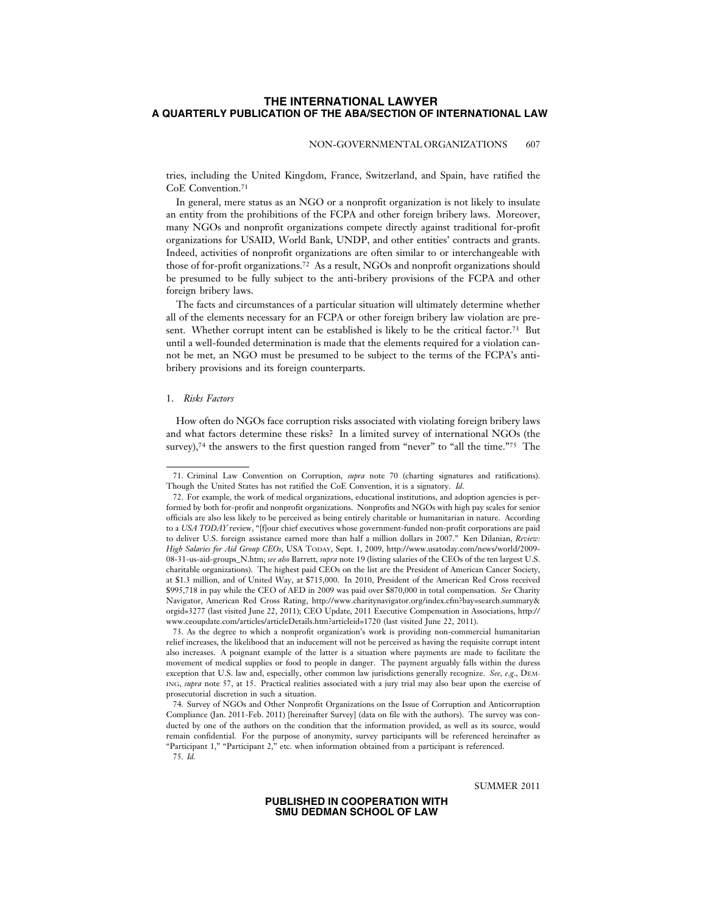#### NON-GOVERNMENTAL ORGANIZATIONS 607

tries, including the United Kingdom, France, Switzerland, and Spain, have ratified the CoE Convention.71

In general, mere status as an NGO or a nonprofit organization is not likely to insulate an entity from the prohibitions of the FCPA and other foreign bribery laws. Moreover, many NGOs and nonprofit organizations compete directly against traditional for-profit organizations for USAID, World Bank, UNDP, and other entities' contracts and grants. Indeed, activities of nonprofit organizations are often similar to or interchangeable with those of for-profit organizations.72 As a result, NGOs and nonprofit organizations should be presumed to be fully subject to the anti-bribery provisions of the FCPA and other foreign bribery laws.

The facts and circumstances of a particular situation will ultimately determine whether all of the elements necessary for an FCPA or other foreign bribery law violation are present. Whether corrupt intent can be established is likely to be the critical factor.<sup>73</sup> But until a well-founded determination is made that the elements required for a violation cannot be met, an NGO must be presumed to be subject to the terms of the FCPA's antibribery provisions and its foreign counterparts.

#### 1. *Risks Factors*

How often do NGOs face corruption risks associated with violating foreign bribery laws and what factors determine these risks? In a limited survey of international NGOs (the survey),<sup>74</sup> the answers to the first question ranged from "never" to "all the time."<sup>75</sup> The

75. *Id.*

SUMMER 2011

<sup>71.</sup> Criminal Law Convention on Corruption, *supra* note 70 (charting signatures and ratifications). Though the United States has not ratified the CoE Convention, it is a signatory. *Id*.

<sup>72.</sup> For example, the work of medical organizations, educational institutions, and adoption agencies is performed by both for-profit and nonprofit organizations. Nonprofits and NGOs with high pay scales for senior officials are also less likely to be perceived as being entirely charitable or humanitarian in nature. According to a *USA TODAY* review, "[flour chief executives whose government-funded non-profit corporations are paid to deliver U.S. foreign assistance earned more than half a million dollars in 2007." Ken Dilanian, *Review: High Salaries for Aid Group CEOs*, USA TODAY, Sept. 1, 2009, http://www.usatoday.com/news/world/2009- 08-31-us-aid-groups\_N.htm; *see also* Barrett, *supra* note 19 (listing salaries of the CEOs of the ten largest U.S. charitable organizations). The highest paid CEOs on the list are the President of American Cancer Society, at \$1.3 million, and of United Way, at \$715,000. In 2010, President of the American Red Cross received \$995,718 in pay while the CEO of AED in 2009 was paid over \$870,000 in total compensation. *See* Charity Navigator, American Red Cross Rating, http://www.charitynavigator.org/index.cfm?bay=search.summary& orgid=3277 (last visited June 22, 2011); CEO Update, 2011 Executive Compensation in Associations, http:// www.ceoupdate.com/articles/articleDetails.htm?articleid=1720 (last visited June 22, 2011).

<sup>73.</sup> As the degree to which a nonprofit organization's work is providing non-commercial humanitarian relief increases, the likelihood that an inducement will not be perceived as having the requisite corrupt intent also increases. A poignant example of the latter is a situation where payments are made to facilitate the movement of medical supplies or food to people in danger. The payment arguably falls within the duress exception that U.S. law and, especially, other common law jurisdictions generally recognize. *See, e*.*g*., DEM-ING, *supra* note 57, at 15. Practical realities associated with a jury trial may also bear upon the exercise of prosecutorial discretion in such a situation.

<sup>74.</sup> Survey of NGOs and Other Nonprofit Organizations on the Issue of Corruption and Anticorruption Compliance (Jan. 2011-Feb. 2011) [hereinafter Survey] (data on file with the authors). The survey was conducted by one of the authors on the condition that the information provided, as well as its source, would remain confidential. For the purpose of anonymity, survey participants will be referenced hereinafter as "Participant 1," "Participant 2," etc. when information obtained from a participant is referenced.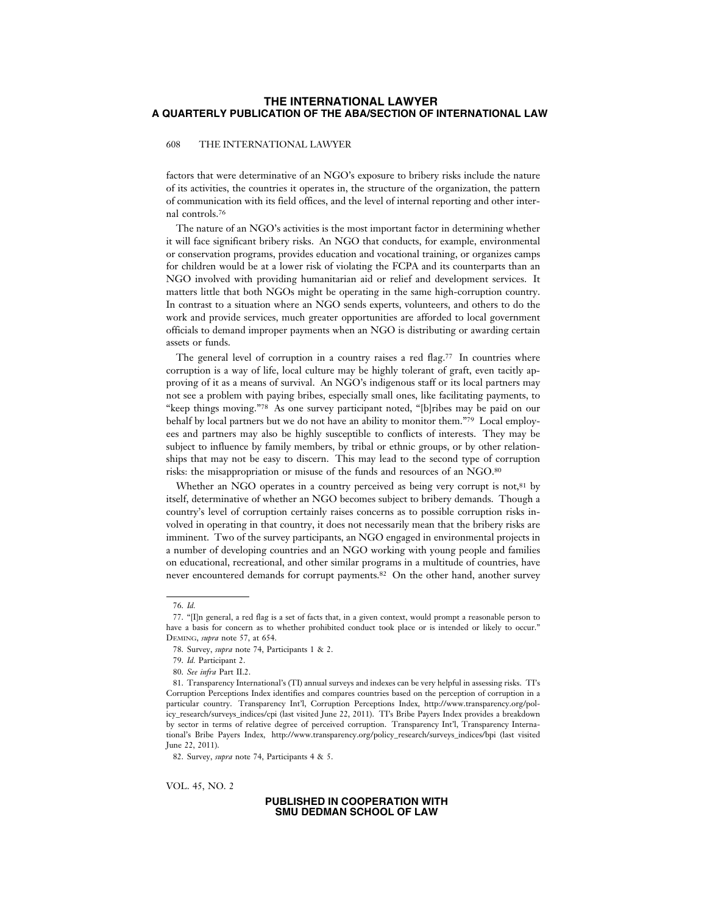### 608 THE INTERNATIONAL LAWYER

factors that were determinative of an NGO's exposure to bribery risks include the nature of its activities, the countries it operates in, the structure of the organization, the pattern of communication with its field offices, and the level of internal reporting and other internal controls.76

The nature of an NGO's activities is the most important factor in determining whether it will face significant bribery risks. An NGO that conducts, for example, environmental or conservation programs, provides education and vocational training, or organizes camps for children would be at a lower risk of violating the FCPA and its counterparts than an NGO involved with providing humanitarian aid or relief and development services. It matters little that both NGOs might be operating in the same high-corruption country. In contrast to a situation where an NGO sends experts, volunteers, and others to do the work and provide services, much greater opportunities are afforded to local government officials to demand improper payments when an NGO is distributing or awarding certain assets or funds.

The general level of corruption in a country raises a red flag.<sup>77</sup> In countries where corruption is a way of life, local culture may be highly tolerant of graft, even tacitly approving of it as a means of survival. An NGO's indigenous staff or its local partners may not see a problem with paying bribes, especially small ones, like facilitating payments, to "keep things moving."78 As one survey participant noted, "[b]ribes may be paid on our behalf by local partners but we do not have an ability to monitor them."79 Local employees and partners may also be highly susceptible to conflicts of interests. They may be subject to influence by family members, by tribal or ethnic groups, or by other relationships that may not be easy to discern. This may lead to the second type of corruption risks: the misappropriation or misuse of the funds and resources of an NGO.80

Whether an NGO operates in a country perceived as being very corrupt is not,<sup>81</sup> by itself, determinative of whether an NGO becomes subject to bribery demands. Though a country's level of corruption certainly raises concerns as to possible corruption risks involved in operating in that country, it does not necessarily mean that the bribery risks are imminent. Two of the survey participants, an NGO engaged in environmental projects in a number of developing countries and an NGO working with young people and families on educational, recreational, and other similar programs in a multitude of countries, have never encountered demands for corrupt payments.82 On the other hand, another survey

VOL. 45, NO. 2

<sup>76.</sup> *Id.*

<sup>77. &</sup>quot;[I]n general, a red flag is a set of facts that, in a given context, would prompt a reasonable person to have a basis for concern as to whether prohibited conduct took place or is intended or likely to occur." DEMING, *supra* note 57, at 654.

<sup>78.</sup> Survey, *supra* note 74, Participants 1 & 2.

<sup>79.</sup> *Id.* Participant 2.

<sup>80.</sup> *See infra* Part II.2.

<sup>81.</sup> Transparency International's (TI) annual surveys and indexes can be very helpful in assessing risks. TI's Corruption Perceptions Index identifies and compares countries based on the perception of corruption in a particular country. Transparency Int'l, Corruption Perceptions Index, http://www.transparency.org/policy\_research/surveys\_indices/cpi (last visited June 22, 2011). TI's Bribe Payers Index provides a breakdown by sector in terms of relative degree of perceived corruption. Transparency Int'l, Transparency International's Bribe Payers Index, http://www.transparency.org/policy\_research/surveys\_indices/bpi (last visited June 22, 2011).

<sup>82.</sup> Survey, *supra* note 74, Participants 4 & 5.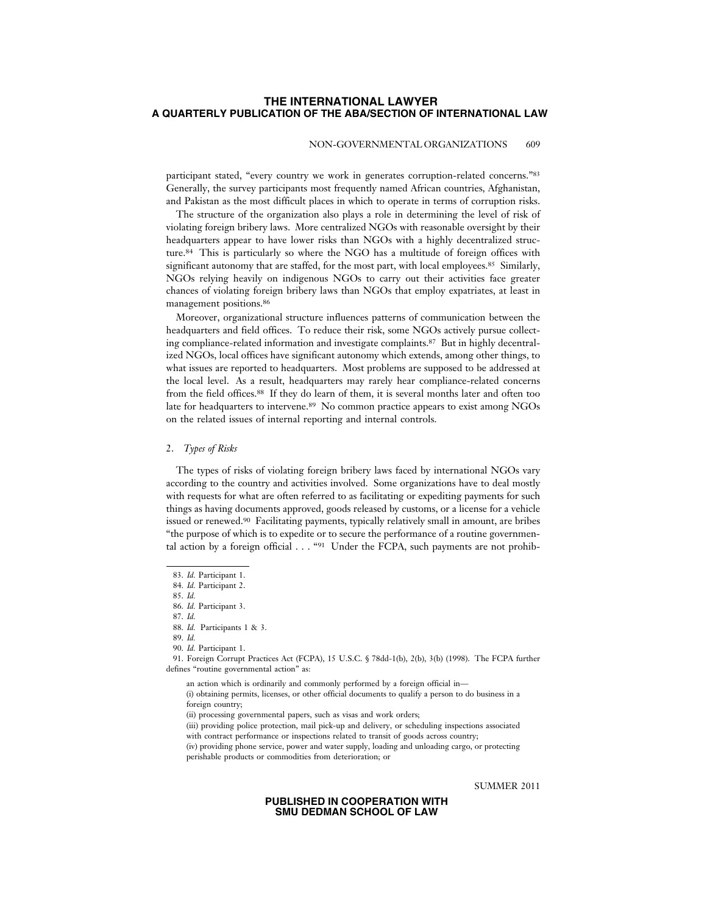### NON-GOVERNMENTAL ORGANIZATIONS 609

participant stated, "every country we work in generates corruption-related concerns."83 Generally, the survey participants most frequently named African countries, Afghanistan, and Pakistan as the most difficult places in which to operate in terms of corruption risks.

The structure of the organization also plays a role in determining the level of risk of violating foreign bribery laws. More centralized NGOs with reasonable oversight by their headquarters appear to have lower risks than NGOs with a highly decentralized structure.84 This is particularly so where the NGO has a multitude of foreign offices with significant autonomy that are staffed, for the most part, with local employees.<sup>85</sup> Similarly, NGOs relying heavily on indigenous NGOs to carry out their activities face greater chances of violating foreign bribery laws than NGOs that employ expatriates, at least in management positions.86

Moreover, organizational structure influences patterns of communication between the headquarters and field offices. To reduce their risk, some NGOs actively pursue collecting compliance-related information and investigate complaints.87 But in highly decentralized NGOs, local offices have significant autonomy which extends, among other things, to what issues are reported to headquarters. Most problems are supposed to be addressed at the local level. As a result, headquarters may rarely hear compliance-related concerns from the field offices.88 If they do learn of them, it is several months later and often too late for headquarters to intervene.<sup>89</sup> No common practice appears to exist among NGOs on the related issues of internal reporting and internal controls.

### 2. *Types of Risks*

The types of risks of violating foreign bribery laws faced by international NGOs vary according to the country and activities involved. Some organizations have to deal mostly with requests for what are often referred to as facilitating or expediting payments for such things as having documents approved, goods released by customs, or a license for a vehicle issued or renewed.90 Facilitating payments, typically relatively small in amount, are bribes "the purpose of which is to expedite or to secure the performance of a routine governmental action by a foreign official . . . "91 Under the FCPA, such payments are not prohib-

86. *Id.* Participant 3. 87. *Id.*

SUMMER 2011

<sup>83.</sup> *Id.* Participant 1.

<sup>84.</sup> *Id.* Participant 2.

<sup>85.</sup> *Id.*

<sup>88.</sup> *Id.* Participants 1 & 3.

<sup>89.</sup> *Id.* 90. *Id.* Participant 1.

<sup>91.</sup> Foreign Corrupt Practices Act (FCPA), 15 U.S.C. § 78dd-1(b), 2(b), 3(b) (1998). The FCPA further defines "routine governmental action" as:

an action which is ordinarily and commonly performed by a foreign official in—

<sup>(</sup>i) obtaining permits, licenses, or other official documents to qualify a person to do business in a foreign country:

<sup>(</sup>ii) processing governmental papers, such as visas and work orders;

<sup>(</sup>iii) providing police protection, mail pick-up and delivery, or scheduling inspections associated

with contract performance or inspections related to transit of goods across country;

<sup>(</sup>iv) providing phone service, power and water supply, loading and unloading cargo, or protecting perishable products or commodities from deterioration; or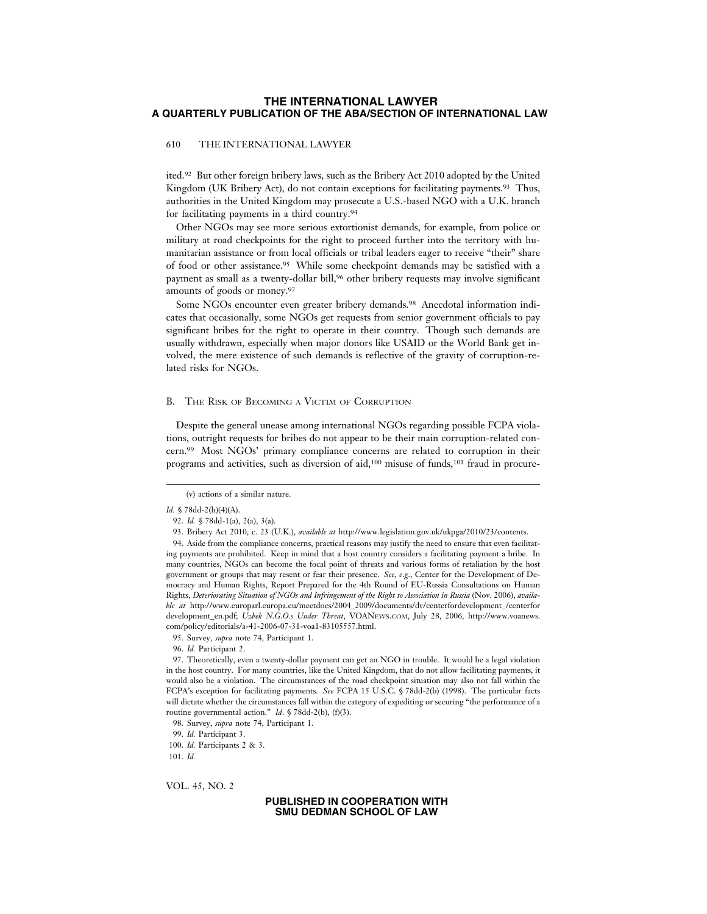### 610 THE INTERNATIONAL LAWYER

ited.92 But other foreign bribery laws, such as the Bribery Act 2010 adopted by the United Kingdom (UK Bribery Act), do not contain exceptions for facilitating payments.<sup>93</sup> Thus, authorities in the United Kingdom may prosecute a U.S.-based NGO with a U.K. branch for facilitating payments in a third country.94

Other NGOs may see more serious extortionist demands, for example, from police or military at road checkpoints for the right to proceed further into the territory with humanitarian assistance or from local officials or tribal leaders eager to receive "their" share of food or other assistance.95 While some checkpoint demands may be satisfied with a payment as small as a twenty-dollar bill,<sup>96</sup> other bribery requests may involve significant amounts of goods or money.97

Some NGOs encounter even greater bribery demands.98 Anecdotal information indicates that occasionally, some NGOs get requests from senior government officials to pay significant bribes for the right to operate in their country. Though such demands are usually withdrawn, especially when major donors like USAID or the World Bank get involved, the mere existence of such demands is reflective of the gravity of corruption-related risks for NGOs.

#### B. THE RISK OF BECOMING A VICTIM OF CORRUPTION

Despite the general unease among international NGOs regarding possible FCPA violations, outright requests for bribes do not appear to be their main corruption-related concern.99 Most NGOs' primary compliance concerns are related to corruption in their programs and activities, such as diversion of aid,<sup>100</sup> misuse of funds,<sup>101</sup> fraud in procure-

94. Aside from the compliance concerns, practical reasons may justify the need to ensure that even facilitating payments are prohibited. Keep in mind that a host country considers a facilitating payment a bribe. In many countries, NGOs can become the focal point of threats and various forms of retaliation by the host government or groups that may resent or fear their presence. *See, e*.*g*., Center for the Development of Democracy and Human Rights, Report Prepared for the 4th Round of EU-Russia Consultations on Human Rights, *Deteriorating Situation of NGOs and Infringement of the Right to Association in Russia* (Nov. 2006), *available at* http://www.europarl.europa.eu/meetdocs/2004\_2009/documents/dv/centerfordevelopment\_/centerfor development\_en.pdf; *Uzbek N*.*G*.*O*.*s Under Threat*, VOANEWS.COM, July 28, 2006, http://www.voanews. com/policy/editorials/a-41-2006-07-31-voa1-83105557.html.

VOL. 45, NO. 2

<sup>(</sup>v) actions of a similar nature.

*Id.* § 78dd-2(h)(4)(A).

<sup>92.</sup> *Id.* § 78dd-1(a), 2(a), 3(a).

<sup>93.</sup> Bribery Act 2010, c. 23 (U.K.), *available at* http://www.legislation.gov.uk/ukpga/2010/23/contents.

<sup>95.</sup> Survey, *supra* note 74, Participant 1.

<sup>96.</sup> *Id.* Participant 2.

<sup>97.</sup> Theoretically, even a twenty-dollar payment can get an NGO in trouble. It would be a legal violation in the host country. For many countries, like the United Kingdom, that do not allow facilitating payments, it would also be a violation. The circumstances of the road checkpoint situation may also not fall within the FCPA's exception for facilitating payments. *See* FCPA 15 U.S.C. § 78dd-2(b) (1998). The particular facts will dictate whether the circumstances fall within the category of expediting or securing "the performance of a routine governmental action." *Id*. § 78dd-2(b), (f)(3).

<sup>98.</sup> Survey, *supra* note 74, Participant 1.

<sup>99.</sup> *Id.* Participant 3.

<sup>100.</sup> *Id.* Participants 2 & 3.

<sup>101.</sup> *Id.*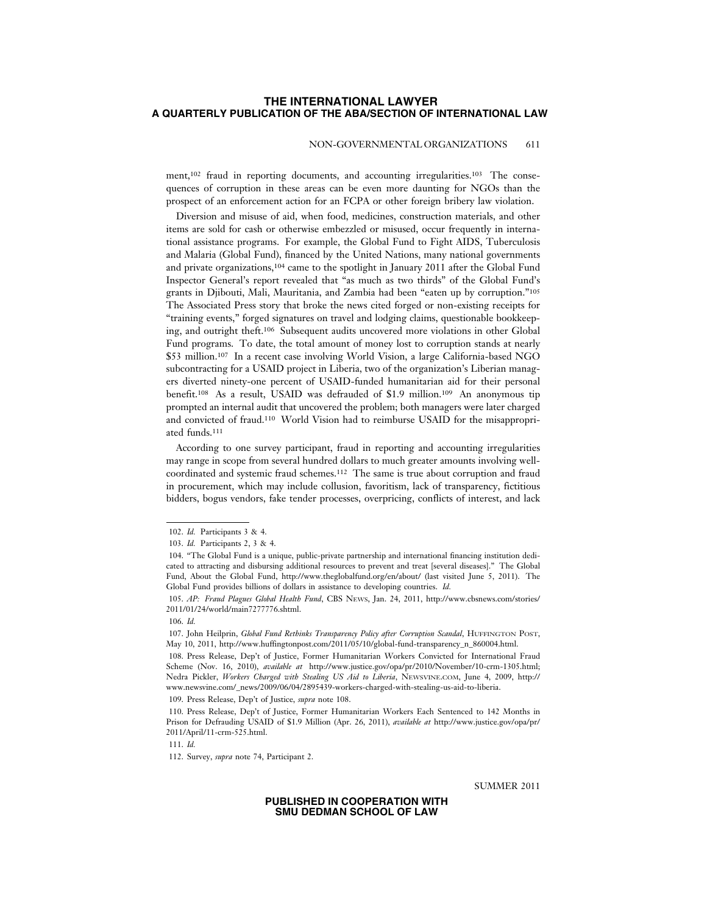### NON-GOVERNMENTAL ORGANIZATIONS 611

ment,<sup>102</sup> fraud in reporting documents, and accounting irregularities.<sup>103</sup> The consequences of corruption in these areas can be even more daunting for NGOs than the prospect of an enforcement action for an FCPA or other foreign bribery law violation.

Diversion and misuse of aid, when food, medicines, construction materials, and other items are sold for cash or otherwise embezzled or misused, occur frequently in international assistance programs. For example, the Global Fund to Fight AIDS, Tuberculosis and Malaria (Global Fund), financed by the United Nations, many national governments and private organizations,104 came to the spotlight in January 2011 after the Global Fund Inspector General's report revealed that "as much as two thirds" of the Global Fund's grants in Djibouti, Mali, Mauritania, and Zambia had been "eaten up by corruption."105 The Associated Press story that broke the news cited forged or non-existing receipts for "training events," forged signatures on travel and lodging claims, questionable bookkeeping, and outright theft.106 Subsequent audits uncovered more violations in other Global Fund programs. To date, the total amount of money lost to corruption stands at nearly \$53 million.107 In a recent case involving World Vision, a large California-based NGO subcontracting for a USAID project in Liberia, two of the organization's Liberian managers diverted ninety-one percent of USAID-funded humanitarian aid for their personal benefit.108 As a result, USAID was defrauded of \$1.9 million.109 An anonymous tip prompted an internal audit that uncovered the problem; both managers were later charged and convicted of fraud.110 World Vision had to reimburse USAID for the misappropriated funds.111

According to one survey participant, fraud in reporting and accounting irregularities may range in scope from several hundred dollars to much greater amounts involving wellcoordinated and systemic fraud schemes.112 The same is true about corruption and fraud in procurement, which may include collusion, favoritism, lack of transparency, fictitious bidders, bogus vendors, fake tender processes, overpricing, conflicts of interest, and lack

109. Press Release, Dep't of Justice, *supra* note 108.

110. Press Release, Dep't of Justice, Former Humanitarian Workers Each Sentenced to 142 Months in Prison for Defrauding USAID of \$1.9 Million (Apr. 26, 2011), *available at* http://www.justice.gov/opa/pr/ 2011/April/11-crm-525.html.

111. *Id.*

SUMMER 2011

<sup>102.</sup> *Id.* Participants 3 & 4.

<sup>103.</sup> *Id.* Participants 2, 3 & 4.

<sup>104. &</sup>quot;The Global Fund is a unique, public-private partnership and international financing institution dedicated to attracting and disbursing additional resources to prevent and treat [several diseases]." The Global Fund, About the Global Fund, http://www.theglobalfund.org/en/about/ (last visited June 5, 2011). The Global Fund provides billions of dollars in assistance to developing countries. *Id.*

<sup>105.</sup> *AP: Fraud Plagues Global Health Fund*, CBS NEWS, Jan. 24, 2011, http://www.cbsnews.com/stories/ 2011/01/24/world/main7277776.shtml.

<sup>106.</sup> *Id.*

<sup>107.</sup> John Heilprin, *Global Fund Rethinks Transparency Policy after Corruption Scandal*, HUFFINGTON POST, May 10, 2011, http://www.huffingtonpost.com/2011/05/10/global-fund-transparency\_n\_860004.html.

<sup>108.</sup> Press Release, Dep't of Justice, Former Humanitarian Workers Convicted for International Fraud Scheme (Nov. 16, 2010), *available at* http://www.justice.gov/opa/pr/2010/November/10-crm-1305.html; Nedra Pickler, *Workers Charged with Stealing US Aid to Liberia*, NEWSVINE.COM, June 4, 2009, http:// www.newsvine.com/\_news/2009/06/04/2895439-workers-charged-with-stealing-us-aid-to-liberia.

<sup>112.</sup> Survey, *supra* note 74, Participant 2.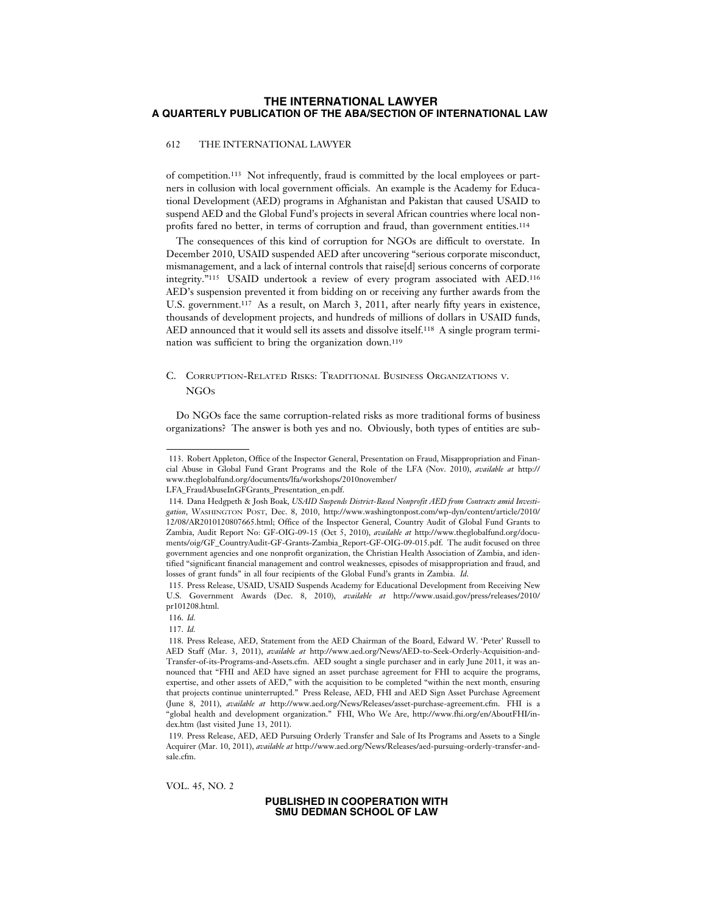### 612 THE INTERNATIONAL LAWYER

of competition.113 Not infrequently, fraud is committed by the local employees or partners in collusion with local government officials. An example is the Academy for Educational Development (AED) programs in Afghanistan and Pakistan that caused USAID to suspend AED and the Global Fund's projects in several African countries where local nonprofits fared no better, in terms of corruption and fraud, than government entities.<sup>114</sup>

The consequences of this kind of corruption for NGOs are difficult to overstate. In December 2010, USAID suspended AED after uncovering "serious corporate misconduct, mismanagement, and a lack of internal controls that raise[d] serious concerns of corporate integrity."115 USAID undertook a review of every program associated with AED.116 AED's suspension prevented it from bidding on or receiving any further awards from the U.S. government.<sup>117</sup> As a result, on March 3, 2011, after nearly fifty years in existence, thousands of development projects, and hundreds of millions of dollars in USAID funds, AED announced that it would sell its assets and dissolve itself.118 A single program termination was sufficient to bring the organization down.119

# C. CORRUPTION-RELATED RISKS: TRADITIONAL BUSINESS ORGANIZATIONS V. **NGOs**

Do NGOs face the same corruption-related risks as more traditional forms of business organizations? The answer is both yes and no. Obviously, both types of entities are sub-

VOL. 45, NO. 2

<sup>113.</sup> Robert Appleton, Office of the Inspector General, Presentation on Fraud, Misappropriation and Financial Abuse in Global Fund Grant Programs and the Role of the LFA (Nov. 2010), *available at* http:// www.theglobalfund.org/documents/lfa/workshops/2010november/

LFA\_FraudAbuseInGFGrants\_Presentation\_en.pdf.

<sup>114.</sup> Dana Hedgpeth & Josh Boak, *USAID Suspends District-Based Nonprofit AED from Contracts amid Investigation*, WASHINGTON POST, Dec. 8, 2010, http://www.washingtonpost.com/wp-dyn/content/article/2010/ 12/08/AR2010120807665.html; Office of the Inspector General, Country Audit of Global Fund Grants to Zambia, Audit Report No: GF-OIG-09-15 (Oct 5, 2010), *available at* http://www.theglobalfund.org/documents/oig/GF\_CountryAudit-GF-Grants-Zambia\_Report-GF-OIG-09-015.pdf. The audit focused on three government agencies and one nonprofit organization, the Christian Health Association of Zambia, and identified "significant financial management and control weaknesses, episodes of misappropriation and fraud, and losses of grant funds" in all four recipients of the Global Fund's grants in Zambia. *Id*.

<sup>115.</sup> Press Release, USAID, USAID Suspends Academy for Educational Development from Receiving New U.S. Government Awards (Dec. 8, 2010), *available at* http://www.usaid.gov/press/releases/2010/ pr101208.html.

<sup>116.</sup> *Id.*

<sup>117.</sup> *Id.*

<sup>118.</sup> Press Release, AED, Statement from the AED Chairman of the Board, Edward W. 'Peter' Russell to AED Staff (Mar. 3, 2011), *available at* http://www.aed.org/News/AED-to-Seek-Orderly-Acquisition-and-Transfer-of-its-Programs-and-Assets.cfm. AED sought a single purchaser and in early June 2011, it was announced that "FHI and AED have signed an asset purchase agreement for FHI to acquire the programs, expertise, and other assets of AED," with the acquisition to be completed "within the next month, ensuring that projects continue uninterrupted." Press Release, AED, FHI and AED Sign Asset Purchase Agreement (June 8, 2011), *available at* http://www.aed.org/News/Releases/asset-purchase-agreement.cfm. FHI is a "global health and development organization." FHI, Who We Are, http://www.fhi.org/en/AboutFHI/index.htm (last visited June 13, 2011).

<sup>119.</sup> Press Release, AED, AED Pursuing Orderly Transfer and Sale of Its Programs and Assets to a Single Acquirer (Mar. 10, 2011), *available at* http://www.aed.org/News/Releases/aed-pursuing-orderly-transfer-andsale.cfm.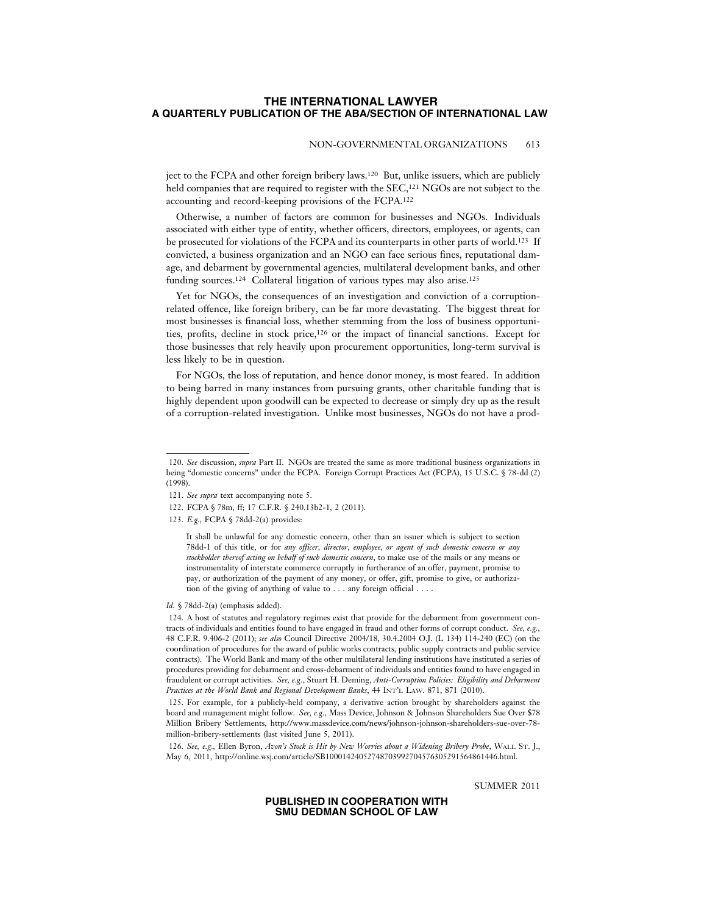### NON-GOVERNMENTAL ORGANIZATIONS 613

ject to the FCPA and other foreign bribery laws.120 But, unlike issuers, which are publicly held companies that are required to register with the SEC,<sup>121</sup> NGOs are not subject to the accounting and record-keeping provisions of the FCPA.122

Otherwise, a number of factors are common for businesses and NGOs. Individuals associated with either type of entity, whether officers, directors, employees, or agents, can be prosecuted for violations of the FCPA and its counterparts in other parts of world.123 If convicted, a business organization and an NGO can face serious fines, reputational damage, and debarment by governmental agencies, multilateral development banks, and other funding sources.<sup>124</sup> Collateral litigation of various types may also arise.<sup>125</sup>

Yet for NGOs, the consequences of an investigation and conviction of a corruptionrelated offence, like foreign bribery, can be far more devastating. The biggest threat for most businesses is financial loss, whether stemming from the loss of business opportunities, profits, decline in stock price,126 or the impact of financial sanctions. Except for those businesses that rely heavily upon procurement opportunities, long-term survival is less likely to be in question.

For NGOs, the loss of reputation, and hence donor money, is most feared. In addition to being barred in many instances from pursuing grants, other charitable funding that is highly dependent upon goodwill can be expected to decrease or simply dry up as the result of a corruption-related investigation. Unlike most businesses, NGOs do not have a prod-

It shall be unlawful for any domestic concern, other than an issuer which is subject to section 78dd-1 of this title, or for *any officer, director, employee, or agent of such domestic concern or any stockholder thereof acting on behalf of such domestic concern*, to make use of the mails or any means or instrumentality of interstate commerce corruptly in furtherance of an offer, payment, promise to pay, or authorization of the payment of any money, or offer, gift, promise to give, or authorization of the giving of anything of value to . . . any foreign official . . . .

*Id.* § 78dd-2(a) (emphasis added).

124. A host of statutes and regulatory regimes exist that provide for the debarment from government contracts of individuals and entities found to have engaged in fraud and other forms of corrupt conduct. *See, e.g.,* 48 C.F.R. 9.406-2 (2011); *see also* Council Directive 2004/18, 30.4.2004 O.J. (L 134) 114-240 (EC) (on the coordination of procedures for the award of public works contracts, public supply contracts and public service contracts). The World Bank and many of the other multilateral lending institutions have instituted a series of procedures providing for debarment and cross-debarment of individuals and entities found to have engaged in fraudulent or corrupt activities. *See, e.g*., Stuart H. Deming, *Anti-Corruption Policies: Eligibility and Debarment Practices at the World Bank and Regional Development Banks*, 44 INT'L LAW. 871, 871 (2010).

125. For example, for a publicly-held company, a derivative action brought by shareholders against the board and management might follow. *See, e.g.,* Mass Device, Johnson & Johnson Shareholders Sue Over \$78 Million Bribery Settlements, http://www.massdevice.com/news/johnson-johnson-shareholders-sue-over-78 million-bribery-settlements (last visited June 5, 2011).

126. *See, e.g.,* Ellen Byron, *Avon's Stock is Hit by New Worries about a Widening Bribery Probe*, WALL ST. J., May 6, 2011, http://online.wsj.com/article/SB10001424052748703992704576305291564861446.html.

SUMMER 2011

<sup>120.</sup> *See* discussion, *supra* Part II. NGOs are treated the same as more traditional business organizations in being "domestic concerns" under the FCPA. Foreign Corrupt Practices Act (FCPA), 15 U.S.C. § 78-dd (2) (1998).

<sup>121.</sup> *See supra* text accompanying note 5.

<sup>122.</sup> FCPA § 78m, ff; 17 C.F.R. § 240.13b2-1, 2 (2011).

<sup>123.</sup> *E.g.,* FCPA § 78dd-2(a) provides: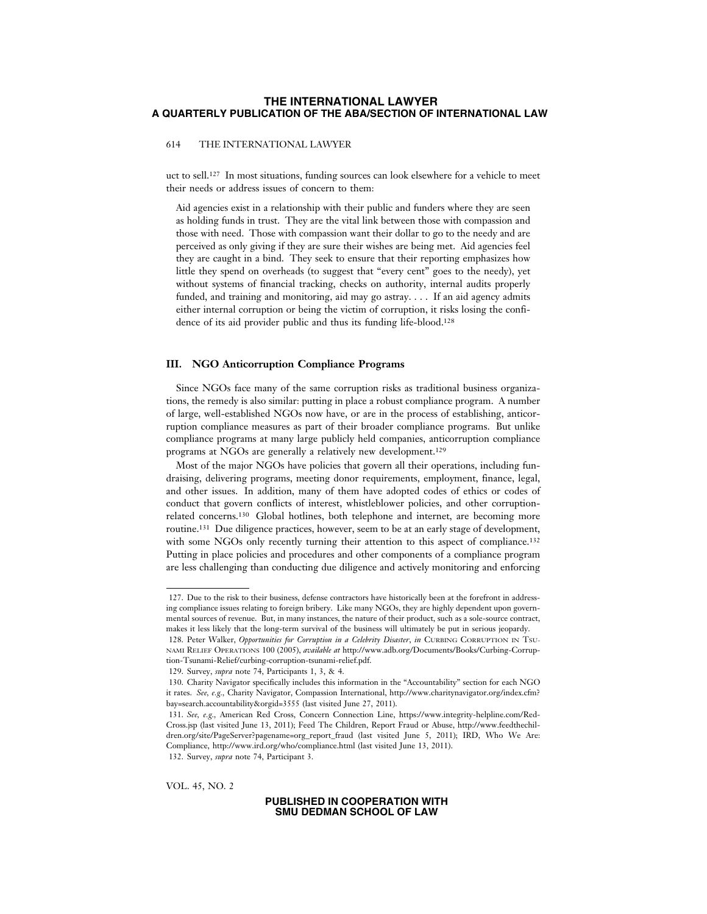614 THE INTERNATIONAL LAWYER

uct to sell.127 In most situations, funding sources can look elsewhere for a vehicle to meet their needs or address issues of concern to them:

Aid agencies exist in a relationship with their public and funders where they are seen as holding funds in trust. They are the vital link between those with compassion and those with need. Those with compassion want their dollar to go to the needy and are perceived as only giving if they are sure their wishes are being met. Aid agencies feel they are caught in a bind. They seek to ensure that their reporting emphasizes how little they spend on overheads (to suggest that "every cent" goes to the needy), yet without systems of financial tracking, checks on authority, internal audits properly funded, and training and monitoring, aid may go astray. . . . If an aid agency admits either internal corruption or being the victim of corruption, it risks losing the confidence of its aid provider public and thus its funding life-blood.128

#### **III. NGO Anticorruption Compliance Programs**

Since NGOs face many of the same corruption risks as traditional business organizations, the remedy is also similar: putting in place a robust compliance program. A number of large, well-established NGOs now have, or are in the process of establishing, anticorruption compliance measures as part of their broader compliance programs. But unlike compliance programs at many large publicly held companies, anticorruption compliance programs at NGOs are generally a relatively new development.129

Most of the major NGOs have policies that govern all their operations, including fundraising, delivering programs, meeting donor requirements, employment, finance, legal, and other issues. In addition, many of them have adopted codes of ethics or codes of conduct that govern conflicts of interest, whistleblower policies, and other corruptionrelated concerns.130 Global hotlines, both telephone and internet, are becoming more routine.131 Due diligence practices, however, seem to be at an early stage of development, with some NGOs only recently turning their attention to this aspect of compliance.<sup>132</sup> Putting in place policies and procedures and other components of a compliance program are less challenging than conducting due diligence and actively monitoring and enforcing

132. Survey, *supra* note 74, Participant 3.

VOL. 45, NO. 2

<sup>127.</sup> Due to the risk to their business, defense contractors have historically been at the forefront in addressing compliance issues relating to foreign bribery. Like many NGOs, they are highly dependent upon governmental sources of revenue. But, in many instances, the nature of their product, such as a sole-source contract, makes it less likely that the long-term survival of the business will ultimately be put in serious jeopardy.

<sup>128.</sup> Peter Walker, *Opportunities for Corruption in a Celebrity Disaster*, *in* CURBING CORRUPTION IN TSU-NAMI RELIEF OPERATIONS 100 (2005), *available at* http://www.adb.org/Documents/Books/Curbing-Corruption-Tsunami-Relief/curbing-corruption-tsunami-relief.pdf.

<sup>129.</sup> Survey, *supra* note 74, Participants 1, 3, & 4.

<sup>130.</sup> Charity Navigator specifically includes this information in the "Accountability" section for each NGO it rates. *See, e.g.,* Charity Navigator, Compassion International, http://www.charitynavigator.org/index.cfm? bay=search.accountability&orgid=3555 (last visited June 27, 2011).

<sup>131.</sup> *See, e.g.,* American Red Cross, Concern Connection Line, https://www.integrity-helpline.com/Red-Cross.jsp (last visited June 13, 2011); Feed The Children, Report Fraud or Abuse, http://www.feedthechildren.org/site/PageServer?pagename=org\_report\_fraud (last visited June 5, 2011); IRD, Who We Are: Compliance, http://www.ird.org/who/compliance.html (last visited June 13, 2011).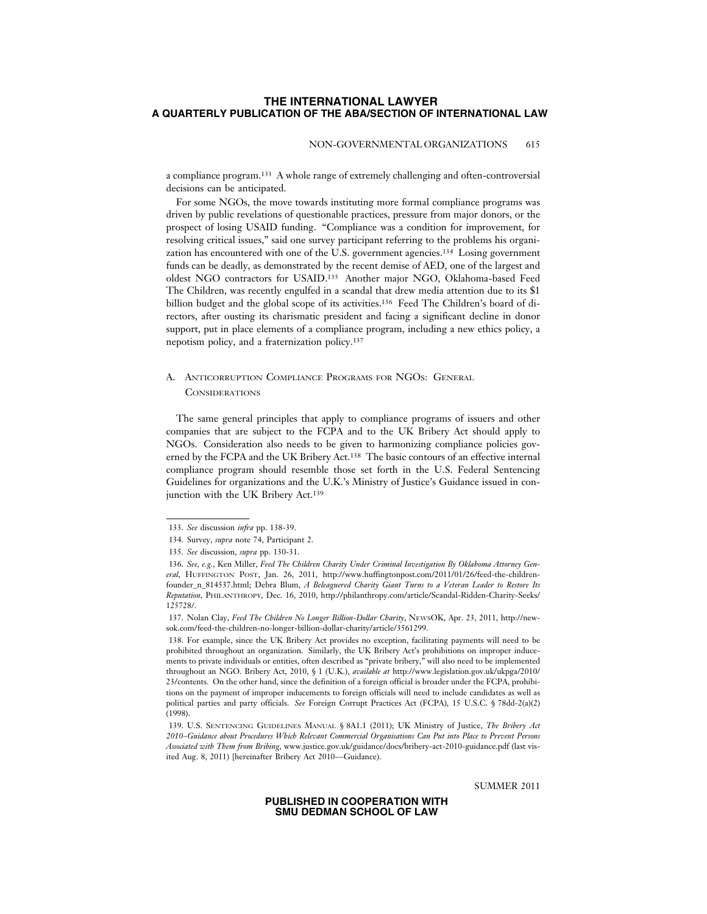#### NON-GOVERNMENTAL ORGANIZATIONS 615

a compliance program.133 A whole range of extremely challenging and often-controversial decisions can be anticipated.

For some NGOs, the move towards instituting more formal compliance programs was driven by public revelations of questionable practices, pressure from major donors, or the prospect of losing USAID funding. "Compliance was a condition for improvement, for resolving critical issues," said one survey participant referring to the problems his organization has encountered with one of the U.S. government agencies.134 Losing government funds can be deadly, as demonstrated by the recent demise of AED, one of the largest and oldest NGO contractors for USAID.135 Another major NGO, Oklahoma-based Feed The Children, was recently engulfed in a scandal that drew media attention due to its \$1 billion budget and the global scope of its activities.136 Feed The Children's board of directors, after ousting its charismatic president and facing a significant decline in donor support, put in place elements of a compliance program, including a new ethics policy, a nepotism policy, and a fraternization policy.137

# A. ANTICORRUPTION COMPLIANCE PROGRAMS FOR NGOS: GENERAL **CONSIDERATIONS**

The same general principles that apply to compliance programs of issuers and other companies that are subject to the FCPA and to the UK Bribery Act should apply to NGOs. Consideration also needs to be given to harmonizing compliance policies governed by the FCPA and the UK Bribery Act.138 The basic contours of an effective internal compliance program should resemble those set forth in the U.S. Federal Sentencing Guidelines for organizations and the U.K.'s Ministry of Justice's Guidance issued in conjunction with the UK Bribery Act.139

SUMMER 2011

<sup>133.</sup> *See* discussion *infra* pp. 138-39.

<sup>134.</sup> Survey, *supra* note 74, Participant 2.

<sup>135.</sup> *See* discussion, *supra* pp. 130-31.

<sup>136.</sup> *See, e.g.*, Ken Miller, *Feed The Children Charity Under Criminal Investigation By Oklahoma Attorney General*, HUFFINGTON POST, Jan. 26, 2011, http://www.huffingtonpost.com/2011/01/26/feed-the-childrenfounder\_n\_814537.html; Debra Blum, *A Beleaguered Charity Giant Turns to a Veteran Leader to Restore Its Reputation*, PHILANTHROPY, Dec. 16, 2010, http://philanthropy.com/article/Scandal-Ridden-Charity-Seeks/ 125728/.

<sup>137.</sup> Nolan Clay, *Feed The Children No Longer Billion-Dollar Charity*, NEWSOK, Apr. 23, 2011, http://newsok.com/feed-the-children-no-longer-billion-dollar-charity/article/3561299.

<sup>138.</sup> For example, since the UK Bribery Act provides no exception, facilitating payments will need to be prohibited throughout an organization. Similarly, the UK Bribery Act's prohibitions on improper inducements to private individuals or entities, often described as "private bribery," will also need to be implemented throughout an NGO. Bribery Act, 2010, § 1 (U.K.), *available at* http://www.legislation.gov.uk/ukpga/2010/ 23/contents. On the other hand, since the definition of a foreign official is broader under the FCPA, prohibitions on the payment of improper inducements to foreign officials will need to include candidates as well as political parties and party officials. *See* Foreign Corrupt Practices Act (FCPA), 15 U.S.C. § 78dd-2(a)(2) (1998).

<sup>139.</sup> U.S. SENTENCING GUIDELINES MANUAL § 8A1.1 (2011); UK Ministry of Justice, *The Bribery Act 2010–Guidance about Procedures Which Relevant Commercial Organisations Can Put into Place to Prevent Persons Associated with Them from Bribing*, www.justice.gov.uk/guidance/docs/bribery-act-2010-guidance.pdf (last visited Aug. 8, 2011) [hereinafter Bribery Act 2010––Guidance).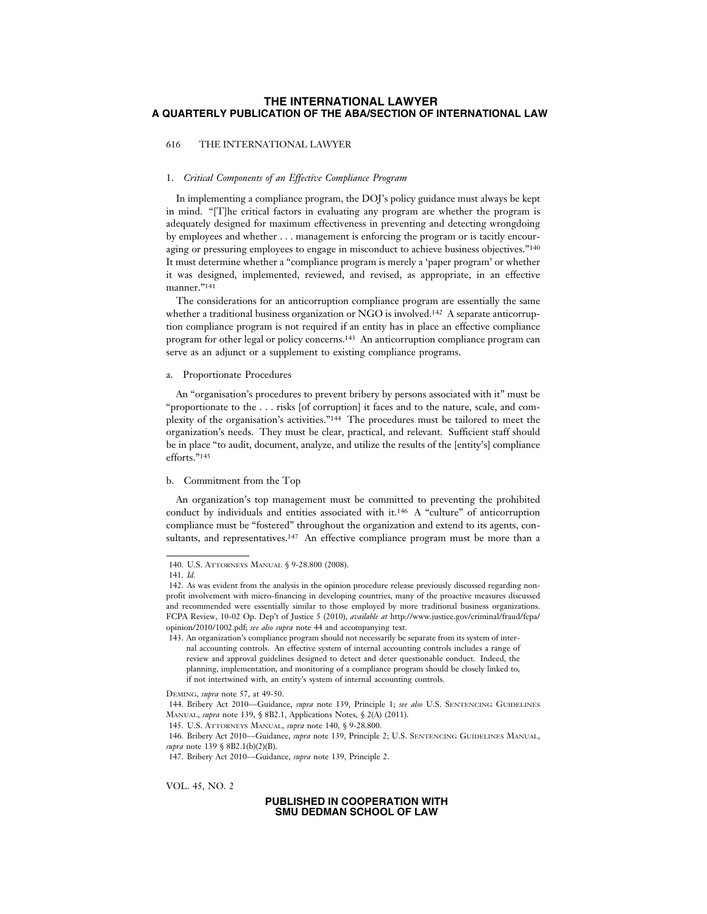### 616 THE INTERNATIONAL LAWYER

### 1. *Critical Components of an Effective Compliance Program*

In implementing a compliance program, the DOJ's policy guidance must always be kept in mind. "[T]he critical factors in evaluating any program are whether the program is adequately designed for maximum effectiveness in preventing and detecting wrongdoing by employees and whether . . . management is enforcing the program or is tacitly encouraging or pressuring employees to engage in misconduct to achieve business objectives."140 It must determine whether a "compliance program is merely a 'paper program' or whether it was designed, implemented, reviewed, and revised, as appropriate, in an effective manner."<sup>141</sup>

The considerations for an anticorruption compliance program are essentially the same whether a traditional business organization or NGO is involved.<sup>142</sup> A separate anticorruption compliance program is not required if an entity has in place an effective compliance program for other legal or policy concerns.143 An anticorruption compliance program can serve as an adjunct or a supplement to existing compliance programs.

### a. Proportionate Procedures

An "organisation's procedures to prevent bribery by persons associated with it" must be "proportionate to the . . . risks [of corruption] it faces and to the nature, scale, and complexity of the organisation's activities."144 The procedures must be tailored to meet the organization's needs. They must be clear, practical, and relevant. Sufficient staff should be in place "to audit, document, analyze, and utilize the results of the [entity's] compliance efforts."145

### b. Commitment from the Top

An organization's top management must be committed to preventing the prohibited conduct by individuals and entities associated with it.146 A "culture" of anticorruption compliance must be "fostered" throughout the organization and extend to its agents, consultants, and representatives.147 An effective compliance program must be more than a

VOL. 45, NO. 2

<sup>140.</sup> U.S. ATTORNEYS MANUAL § 9-28.800 (2008).

<sup>141.</sup> *Id.*

<sup>142.</sup> As was evident from the analysis in the opinion procedure release previously discussed regarding nonprofit involvement with micro-financing in developing countries, many of the proactive measures discussed and recommended were essentially similar to those employed by more traditional business organizations. FCPA Review, 10-02 Op. Dep't of Justice 5 (2010), *available at* http://www.justice.gov/criminal/fraud/fcpa/ opinion/2010/1002.pdf; *see also supra* note 44 and accompanying text.

<sup>143.</sup> An organization's compliance program should not necessarily be separate from its system of internal accounting controls. An effective system of internal accounting controls includes a range of review and approval guidelines designed to detect and deter questionable conduct. Indeed, the planning, implementation, and monitoring of a compliance program should be closely linked to, if not intertwined with, an entity's system of internal accounting controls.

DEMING, *supra* note 57, at 49-50.

<sup>144.</sup> Bribery Act 2010––Guidance, *supra* note 139, Principle 1; *see also* U.S. SENTENCING GUIDELINES MANUAL, *supra* note 139, § 8B2.1, Applications Notes, § 2(A) (2011).

<sup>145.</sup> U.S. ATTORNEYS MANUAL, *supra* note 140, § 9-28.800.

<sup>146.</sup> Bribery Act 2010––Guidance, *supra* note 139, Principle 2; U.S. SENTENCING GUIDELINES MANUAL, *supra* note 139 § 8B2.1(b)(2)(B).

<sup>147.</sup> Bribery Act 2010––Guidance, *supra* note 139, Principle 2.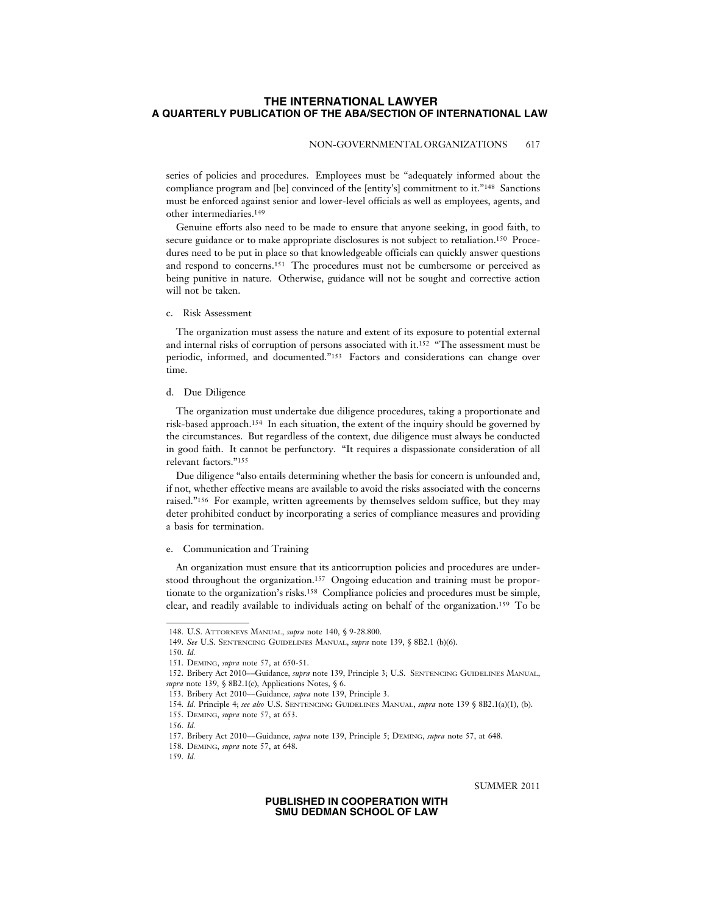### NON-GOVERNMENTAL ORGANIZATIONS 617

series of policies and procedures. Employees must be "adequately informed about the compliance program and [be] convinced of the [entity's] commitment to it."148 Sanctions must be enforced against senior and lower-level officials as well as employees, agents, and other intermediaries.149

Genuine efforts also need to be made to ensure that anyone seeking, in good faith, to secure guidance or to make appropriate disclosures is not subject to retaliation.<sup>150</sup> Procedures need to be put in place so that knowledgeable officials can quickly answer questions and respond to concerns.151 The procedures must not be cumbersome or perceived as being punitive in nature. Otherwise, guidance will not be sought and corrective action will not be taken.

### c. Risk Assessment

The organization must assess the nature and extent of its exposure to potential external and internal risks of corruption of persons associated with it.152 "The assessment must be periodic, informed, and documented."153 Factors and considerations can change over time.

### d. Due Diligence

The organization must undertake due diligence procedures, taking a proportionate and risk-based approach.154 In each situation, the extent of the inquiry should be governed by the circumstances. But regardless of the context, due diligence must always be conducted in good faith. It cannot be perfunctory. "It requires a dispassionate consideration of all relevant factors."155

Due diligence "also entails determining whether the basis for concern is unfounded and, if not, whether effective means are available to avoid the risks associated with the concerns raised."156 For example, written agreements by themselves seldom suffice, but they may deter prohibited conduct by incorporating a series of compliance measures and providing a basis for termination.

### e. Communication and Training

An organization must ensure that its anticorruption policies and procedures are understood throughout the organization.157 Ongoing education and training must be proportionate to the organization's risks.158 Compliance policies and procedures must be simple, clear, and readily available to individuals acting on behalf of the organization.159 To be

SUMMER 2011

<sup>148.</sup> U.S. ATTORNEYS MANUAL, *supra* note 140, § 9-28.800.

<sup>149.</sup> *See* U.S. SENTENCING GUIDELINES MANUAL, *supra* note 139, § 8B2.1 (b)(6).

<sup>150.</sup> *Id.*

<sup>151.</sup> DEMING, *supra* note 57, at 650-51.

<sup>152.</sup> Bribery Act 2010––Guidance, *supra* note 139, Principle 3; U.S. SENTENCING GUIDELINES MANUAL, *supra* note 139, § 8B2.1(c), Applications Notes, § 6.

<sup>153.</sup> Bribery Act 2010––Guidance, *supra* note 139, Principle 3.

<sup>154.</sup> *Id.* Principle 4; *see also* U.S. SENTENCING GUIDELINES MANUAL, *supra* note 139 § 8B2.1(a)(1), (b).

<sup>155.</sup> DEMING, *supra* note 57, at 653.

<sup>156.</sup> *Id.*

<sup>157.</sup> Bribery Act 2010––Guidance, *supra* note 139, Principle 5; DEMING, *supra* note 57, at 648.

<sup>158.</sup> DEMING, *supra* note 57, at 648.

<sup>159.</sup> *Id.*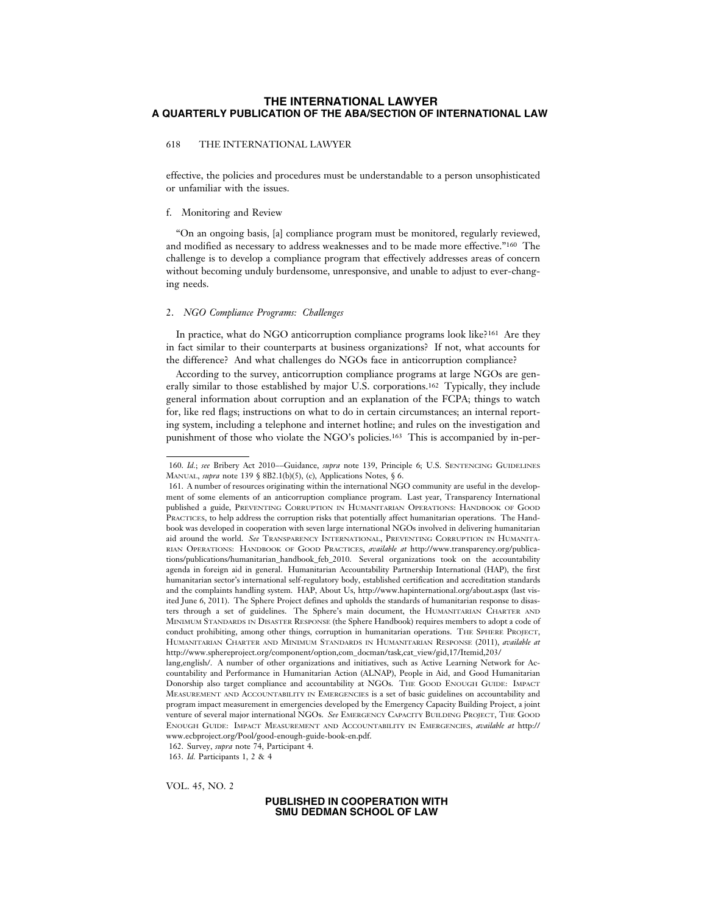### 618 THE INTERNATIONAL LAWYER

effective, the policies and procedures must be understandable to a person unsophisticated or unfamiliar with the issues.

#### f. Monitoring and Review

"On an ongoing basis, [a] compliance program must be monitored, regularly reviewed, and modified as necessary to address weaknesses and to be made more effective."160 The challenge is to develop a compliance program that effectively addresses areas of concern without becoming unduly burdensome, unresponsive, and unable to adjust to ever-changing needs.

#### 2. *NGO Compliance Programs: Challenges*

In practice, what do NGO anticorruption compliance programs look like?161 Are they in fact similar to their counterparts at business organizations? If not, what accounts for the difference? And what challenges do NGOs face in anticorruption compliance?

According to the survey, anticorruption compliance programs at large NGOs are generally similar to those established by major U.S. corporations.162 Typically, they include general information about corruption and an explanation of the FCPA; things to watch for, like red flags; instructions on what to do in certain circumstances; an internal reporting system, including a telephone and internet hotline; and rules on the investigation and punishment of those who violate the NGO's policies.163 This is accompanied by in-per-

162. Survey, *supra* note 74, Participant 4.

VOL. 45, NO. 2

<sup>160.</sup> *Id.*; *see* Bribery Act 2010––Guidance, *supra* note 139, Principle 6; U.S. SENTENCING GUIDELINES MANUAL, *supra* note 139 § 8B2.1(b)(5), (c), Applications Notes, § 6.

<sup>161.</sup> A number of resources originating within the international NGO community are useful in the development of some elements of an anticorruption compliance program. Last year, Transparency International published a guide, PREVENTING CORRUPTION IN HUMANITARIAN OPERATIONS: HANDBOOK OF GOOD PRACTICES, to help address the corruption risks that potentially affect humanitarian operations. The Handbook was developed in cooperation with seven large international NGOs involved in delivering humanitarian aid around the world. *See* TRANSPARENCY INTERNATIONAL, PREVENTING CORRUPTION IN HUMANITA-RIAN OPERATIONS: HANDBOOK OF GOOD PRACTICES, *available at* http://www.transparency.org/publications/publications/humanitarian\_handbook\_feb\_2010. Several organizations took on the accountability agenda in foreign aid in general. Humanitarian Accountability Partnership International (HAP), the first humanitarian sector's international self-regulatory body, established certification and accreditation standards and the complaints handling system. HAP, About Us, http://www.hapinternational.org/about.aspx (last visited June 6, 2011). The Sphere Project defines and upholds the standards of humanitarian response to disasters through a set of guidelines. The Sphere's main document, the HUMANITARIAN CHARTER AND MINIMUM STANDARDS IN DISASTER RESPONSE (the Sphere Handbook) requires members to adopt a code of conduct prohibiting, among other things, corruption in humanitarian operations. THE SPHERE PROJECT, HUMANITARIAN CHARTER AND MINIMUM STANDARDS IN HUMANITARIAN RESPONSE (2011), *available at* http://www.sphereproject.org/component/option,com\_docman/task,cat\_view/gid,17/Itemid,203/

lang,english/. A number of other organizations and initiatives, such as Active Learning Network for Accountability and Performance in Humanitarian Action (ALNAP), People in Aid, and Good Humanitarian Donorship also target compliance and accountability at NGOs. THE GOOD ENOUGH GUIDE: IMPACT MEASUREMENT AND ACCOUNTABILITY IN EMERGENCIES is a set of basic guidelines on accountability and program impact measurement in emergencies developed by the Emergency Capacity Building Project, a joint venture of several major international NGOs. *See* EMERGENCY CAPACITY BUILDING PROJECT, THE GOOD ENOUGH GUIDE: IMPACT MEASUREMENT AND ACCOUNTABILITY IN EMERGENCIES, *available at* http:// www.ecbproject.org/Pool/good-enough-guide-book-en.pdf.

<sup>163.</sup> *Id.* Participants 1, 2 & 4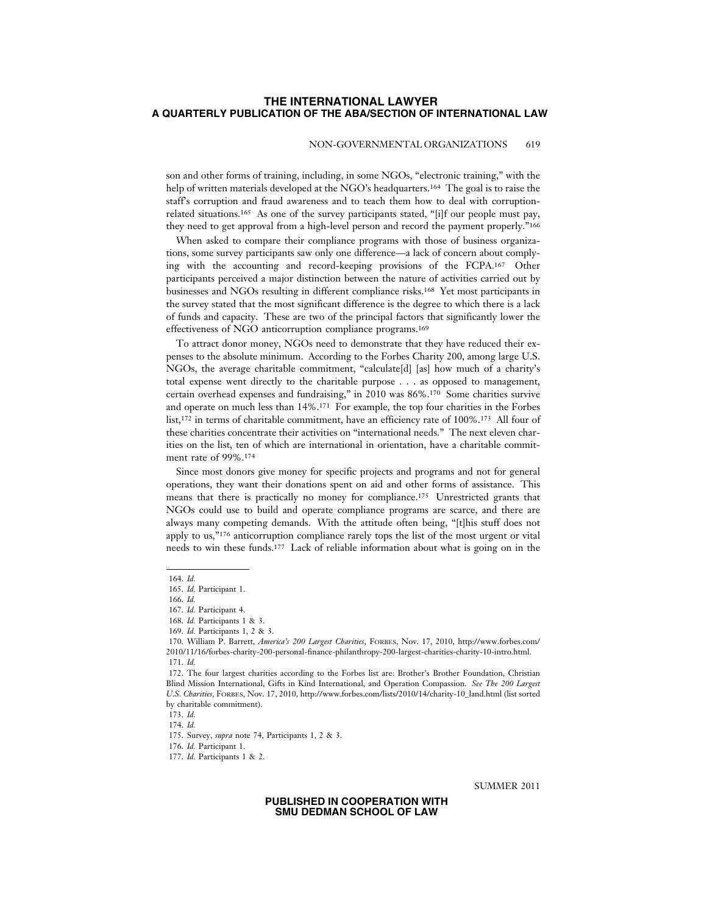### NON-GOVERNMENTAL ORGANIZATIONS 619

son and other forms of training, including, in some NGOs, "electronic training," with the help of written materials developed at the NGO's headquarters.164 The goal is to raise the staff's corruption and fraud awareness and to teach them how to deal with corruptionrelated situations.165 As one of the survey participants stated, "[i]f our people must pay, they need to get approval from a high-level person and record the payment properly."166

When asked to compare their compliance programs with those of business organizations, some survey participants saw only one difference—a lack of concern about complying with the accounting and record-keeping provisions of the FCPA.167 Other participants perceived a major distinction between the nature of activities carried out by businesses and NGOs resulting in different compliance risks.168 Yet most participants in the survey stated that the most significant difference is the degree to which there is a lack of funds and capacity. These are two of the principal factors that significantly lower the effectiveness of NGO anticorruption compliance programs.169

To attract donor money, NGOs need to demonstrate that they have reduced their expenses to the absolute minimum. According to the Forbes Charity 200, among large U.S. NGOs, the average charitable commitment, "calculate[d] [as] how much of a charity's total expense went directly to the charitable purpose . . . as opposed to management, certain overhead expenses and fundraising," in 2010 was 86%.170 Some charities survive and operate on much less than 14%.171 For example, the top four charities in the Forbes list,<sup>172</sup> in terms of charitable commitment, have an efficiency rate of 100%.<sup>173</sup> All four of these charities concentrate their activities on "international needs." The next eleven charities on the list, ten of which are international in orientation, have a charitable commitment rate of 99%.174

Since most donors give money for specific projects and programs and not for general operations, they want their donations spent on aid and other forms of assistance. This means that there is practically no money for compliance.175 Unrestricted grants that NGOs could use to build and operate compliance programs are scarce, and there are always many competing demands. With the attitude often being, "[t]his stuff does not apply to us,"176 anticorruption compliance rarely tops the list of the most urgent or vital needs to win these funds.177 Lack of reliable information about what is going on in the

SUMMER 2011

<sup>164.</sup> *Id.*

<sup>165.</sup> *Id.* Participant 1.

<sup>166.</sup> *Id.*

<sup>167.</sup> *Id.* Participant 4.

<sup>168.</sup> *Id.* Participants 1 & 3.

<sup>169.</sup> *Id.* Participants 1, 2 & 3.

<sup>170.</sup> William P. Barrett, *America's 200 Largest Charities*, FORBES, Nov. 17, 2010, http://www.forbes.com/ 2010/11/16/forbes-charity-200-personal-finance-philanthropy-200-largest-charities-charity-10-intro.html. 171. *Id.*

<sup>172.</sup> The four largest charities according to the Forbes list are: Brother's Brother Foundation, Christian Blind Mission International, Gifts in Kind International, and Operation Compassion. *See The 200 Largest U*.*S*. *Charities*, FORBES, Nov. 17, 2010, http://www.forbes.com/lists/2010/14/charity-10\_land.html (list sorted by charitable commitment).

<sup>173.</sup> *Id.*

<sup>174.</sup> *Id.*

<sup>175.</sup> Survey, *supra* note 74, Participants 1, 2 & 3.

<sup>176.</sup> *Id.* Participant 1.

<sup>177.</sup> *Id.* Participants 1 & 2.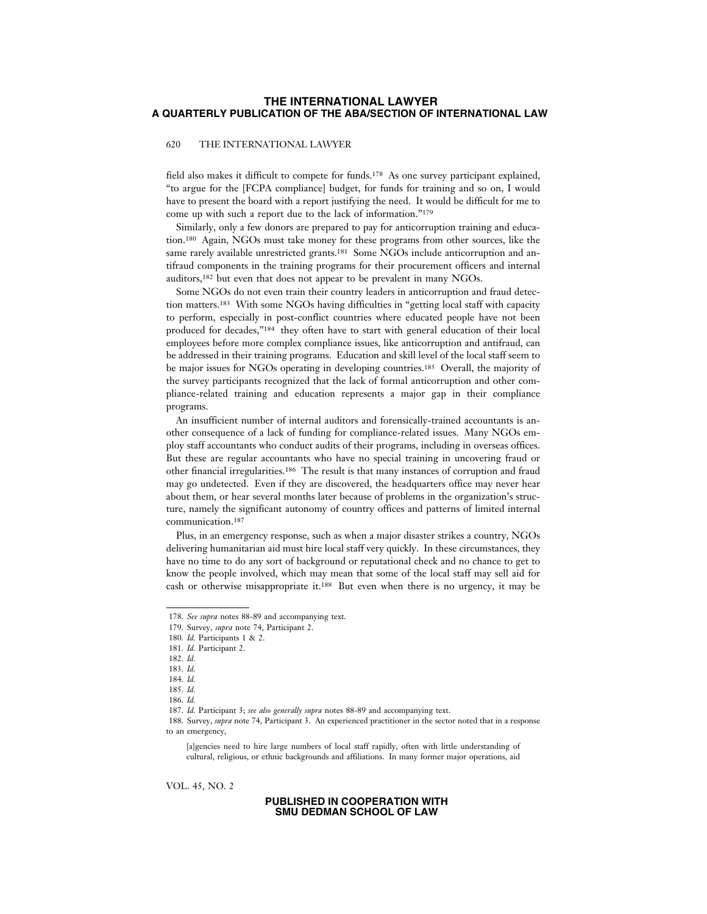### 620 THE INTERNATIONAL LAWYER

field also makes it difficult to compete for funds.178 As one survey participant explained, "to argue for the [FCPA compliance] budget, for funds for training and so on, I would have to present the board with a report justifying the need. It would be difficult for me to come up with such a report due to the lack of information."179

Similarly, only a few donors are prepared to pay for anticorruption training and education.180 Again, NGOs must take money for these programs from other sources, like the same rarely available unrestricted grants.<sup>181</sup> Some NGOs include anticorruption and antifraud components in the training programs for their procurement officers and internal auditors,182 but even that does not appear to be prevalent in many NGOs.

Some NGOs do not even train their country leaders in anticorruption and fraud detection matters.183 With some NGOs having difficulties in "getting local staff with capacity to perform, especially in post-conflict countries where educated people have not been produced for decades,"184 they often have to start with general education of their local employees before more complex compliance issues, like anticorruption and antifraud, can be addressed in their training programs. Education and skill level of the local staff seem to be major issues for NGOs operating in developing countries.<sup>185</sup> Overall, the majority of the survey participants recognized that the lack of formal anticorruption and other compliance-related training and education represents a major gap in their compliance programs.

An insufficient number of internal auditors and forensically-trained accountants is another consequence of a lack of funding for compliance-related issues. Many NGOs employ staff accountants who conduct audits of their programs, including in overseas offices. But these are regular accountants who have no special training in uncovering fraud or other financial irregularities.186 The result is that many instances of corruption and fraud may go undetected. Even if they are discovered, the headquarters office may never hear about them, or hear several months later because of problems in the organization's structure, namely the significant autonomy of country offices and patterns of limited internal communication.187

Plus, in an emergency response, such as when a major disaster strikes a country, NGOs delivering humanitarian aid must hire local staff very quickly. In these circumstances, they have no time to do any sort of background or reputational check and no chance to get to know the people involved, which may mean that some of the local staff may sell aid for cash or otherwise misappropriate it.188 But even when there is no urgency, it may be

188. Survey, *supra* note 74, Participant 3. An experienced practitioner in the sector noted that in a response to an emergency,

[a]gencies need to hire large numbers of local staff rapidly, often with little understanding of cultural, religious, or ethnic backgrounds and affiliations. In many former major operations, aid

VOL. 45, NO. 2

<sup>178.</sup> *See supra* notes 88-89 and accompanying text.

<sup>179.</sup> Survey, *supra* note 74, Participant 2.

<sup>180.</sup> *Id.* Participants 1 & 2.

<sup>181.</sup> *Id.* Participant 2.

<sup>182.</sup> *Id.*

<sup>183.</sup> *Id.*

<sup>184.</sup> *Id.*

<sup>185.</sup> *Id.*

<sup>186.</sup> *Id.*

<sup>187.</sup> *Id.* Participant 3; *see also generally supra* notes 88-89 and accompanying text.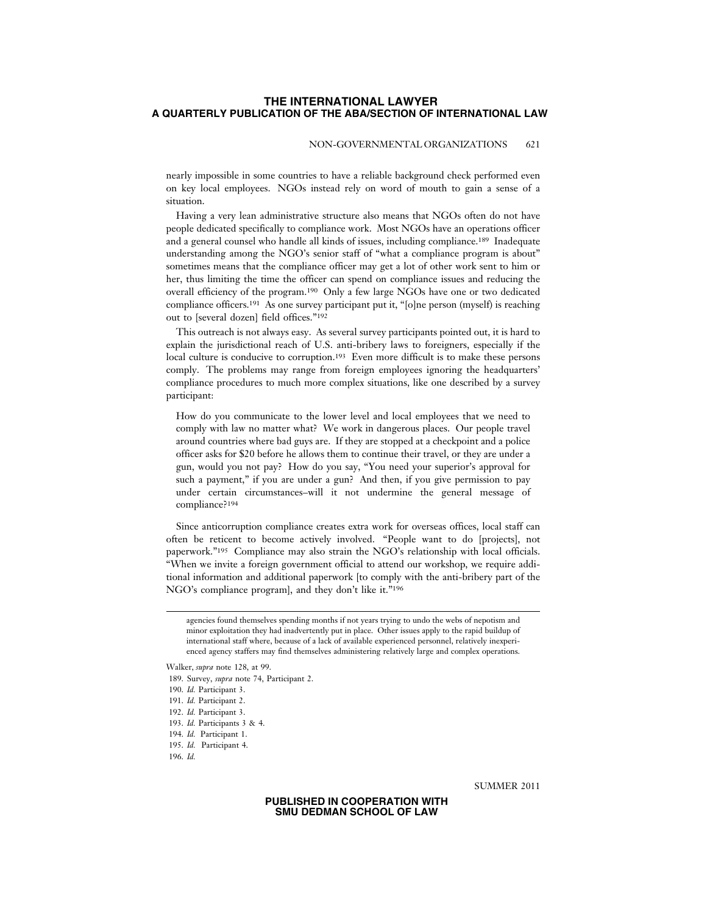### NON-GOVERNMENTAL ORGANIZATIONS 621

nearly impossible in some countries to have a reliable background check performed even on key local employees. NGOs instead rely on word of mouth to gain a sense of a situation.

Having a very lean administrative structure also means that NGOs often do not have people dedicated specifically to compliance work. Most NGOs have an operations officer and a general counsel who handle all kinds of issues, including compliance.189 Inadequate understanding among the NGO's senior staff of "what a compliance program is about" sometimes means that the compliance officer may get a lot of other work sent to him or her, thus limiting the time the officer can spend on compliance issues and reducing the overall efficiency of the program.190 Only a few large NGOs have one or two dedicated compliance officers.191 As one survey participant put it, "[o]ne person (myself) is reaching out to [several dozen] field offices."192

This outreach is not always easy. As several survey participants pointed out, it is hard to explain the jurisdictional reach of U.S. anti-bribery laws to foreigners, especially if the local culture is conducive to corruption.193 Even more difficult is to make these persons comply. The problems may range from foreign employees ignoring the headquarters' compliance procedures to much more complex situations, like one described by a survey participant:

How do you communicate to the lower level and local employees that we need to comply with law no matter what? We work in dangerous places. Our people travel around countries where bad guys are. If they are stopped at a checkpoint and a police officer asks for \$20 before he allows them to continue their travel, or they are under a gun, would you not pay? How do you say, "You need your superior's approval for such a payment," if you are under a gun? And then, if you give permission to pay under certain circumstances–will it not undermine the general message of compliance?194

Since anticorruption compliance creates extra work for overseas offices, local staff can often be reticent to become actively involved. "People want to do [projects], not paperwork."195 Compliance may also strain the NGO's relationship with local officials. "When we invite a foreign government official to attend our workshop, we require additional information and additional paperwork [to comply with the anti-bribery part of the NGO's compliance program], and they don't like it."196

agencies found themselves spending months if not years trying to undo the webs of nepotism and minor exploitation they had inadvertently put in place. Other issues apply to the rapid buildup of international staff where, because of a lack of available experienced personnel, relatively inexperienced agency staffers may find themselves administering relatively large and complex operations.

192. *Id.* Participant 3.

SUMMER 2011

Walker, *supra* note 128, at 99.

<sup>189.</sup> Survey, *supra* note 74, Participant 2.

<sup>190.</sup> *Id.* Participant 3.

<sup>191.</sup> *Id.* Participant 2.

<sup>193.</sup> *Id.* Participants 3 & 4.

<sup>194.</sup> *Id.* Participant 1.

<sup>195.</sup> *Id.* Participant 4.

<sup>196.</sup> *Id.*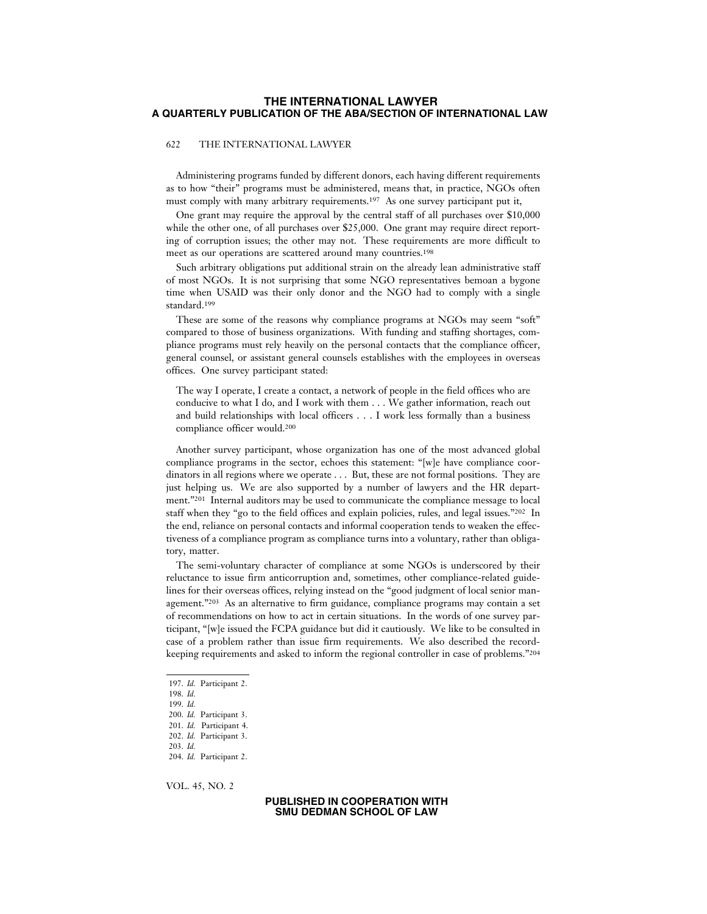### 622 THE INTERNATIONAL LAWYER

Administering programs funded by different donors, each having different requirements as to how "their" programs must be administered, means that, in practice, NGOs often must comply with many arbitrary requirements.197 As one survey participant put it,

One grant may require the approval by the central staff of all purchases over \$10,000 while the other one, of all purchases over \$25,000. One grant may require direct reporting of corruption issues; the other may not. These requirements are more difficult to meet as our operations are scattered around many countries.198

Such arbitrary obligations put additional strain on the already lean administrative staff of most NGOs. It is not surprising that some NGO representatives bemoan a bygone time when USAID was their only donor and the NGO had to comply with a single standard.199

These are some of the reasons why compliance programs at NGOs may seem "soft" compared to those of business organizations. With funding and staffing shortages, compliance programs must rely heavily on the personal contacts that the compliance officer, general counsel, or assistant general counsels establishes with the employees in overseas offices. One survey participant stated:

The way I operate, I create a contact, a network of people in the field offices who are conducive to what I do, and I work with them . . . We gather information, reach out and build relationships with local officers . . . I work less formally than a business compliance officer would.200

Another survey participant, whose organization has one of the most advanced global compliance programs in the sector, echoes this statement: "[w]e have compliance coordinators in all regions where we operate . . . But, these are not formal positions. They are just helping us. We are also supported by a number of lawyers and the HR department."201 Internal auditors may be used to communicate the compliance message to local staff when they "go to the field offices and explain policies, rules, and legal issues."202 In the end, reliance on personal contacts and informal cooperation tends to weaken the effectiveness of a compliance program as compliance turns into a voluntary, rather than obligatory, matter.

The semi-voluntary character of compliance at some NGOs is underscored by their reluctance to issue firm anticorruption and, sometimes, other compliance-related guidelines for their overseas offices, relying instead on the "good judgment of local senior management."203 As an alternative to firm guidance, compliance programs may contain a set of recommendations on how to act in certain situations. In the words of one survey participant, "[w]e issued the FCPA guidance but did it cautiously. We like to be consulted in case of a problem rather than issue firm requirements. We also described the recordkeeping requirements and asked to inform the regional controller in case of problems."204

VOL. 45, NO. 2

<sup>197.</sup> *Id.* Participant 2.

<sup>198.</sup> *Id.*

<sup>199.</sup> *Id.*

<sup>200.</sup> *Id.* Participant 3.

<sup>201.</sup> *Id.* Participant 4.

<sup>202.</sup> *Id.* Participant 3.

<sup>203.</sup> *Id.*

<sup>204.</sup> *Id.* Participant 2.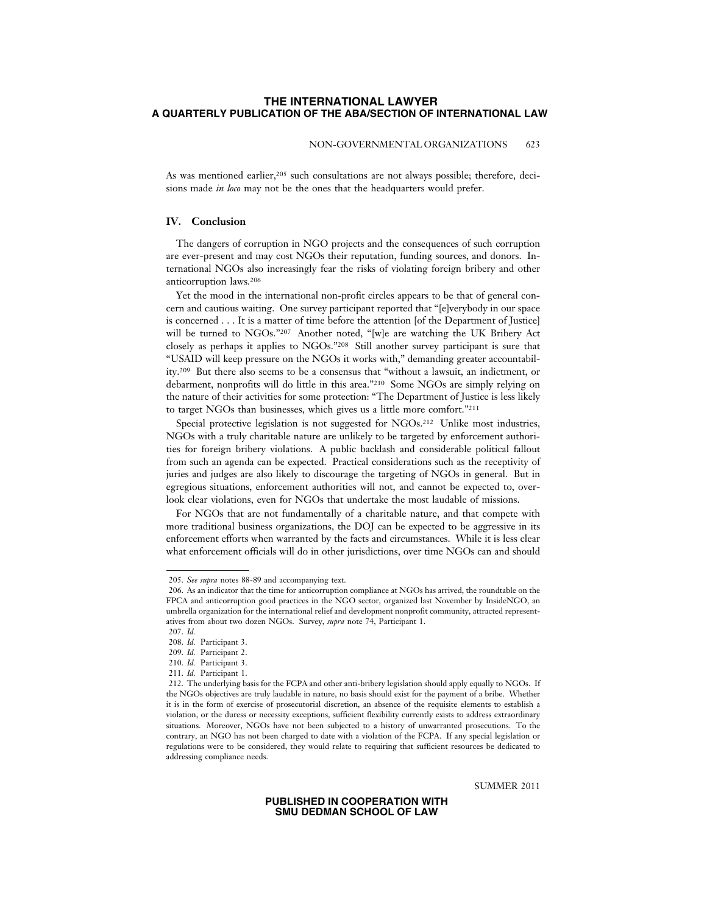### NON-GOVERNMENTAL ORGANIZATIONS 623

As was mentioned earlier,205 such consultations are not always possible; therefore, decisions made *in loco* may not be the ones that the headquarters would prefer.

### **IV. Conclusion**

The dangers of corruption in NGO projects and the consequences of such corruption are ever-present and may cost NGOs their reputation, funding sources, and donors. International NGOs also increasingly fear the risks of violating foreign bribery and other anticorruption laws.206

Yet the mood in the international non-profit circles appears to be that of general concern and cautious waiting. One survey participant reported that "[e]verybody in our space is concerned . . . It is a matter of time before the attention [of the Department of Justice] will be turned to NGOs."207 Another noted, "[w]e are watching the UK Bribery Act closely as perhaps it applies to NGOs."208 Still another survey participant is sure that "USAID will keep pressure on the NGOs it works with," demanding greater accountability.209 But there also seems to be a consensus that "without a lawsuit, an indictment, or debarment, nonprofits will do little in this area."210 Some NGOs are simply relying on the nature of their activities for some protection: "The Department of Justice is less likely to target NGOs than businesses, which gives us a little more comfort."211

Special protective legislation is not suggested for NGOs.212 Unlike most industries, NGOs with a truly charitable nature are unlikely to be targeted by enforcement authorities for foreign bribery violations. A public backlash and considerable political fallout from such an agenda can be expected. Practical considerations such as the receptivity of juries and judges are also likely to discourage the targeting of NGOs in general. But in egregious situations, enforcement authorities will not, and cannot be expected to, overlook clear violations, even for NGOs that undertake the most laudable of missions.

For NGOs that are not fundamentally of a charitable nature, and that compete with more traditional business organizations, the DOJ can be expected to be aggressive in its enforcement efforts when warranted by the facts and circumstances. While it is less clear what enforcement officials will do in other jurisdictions, over time NGOs can and should

SUMMER 2011

<sup>205.</sup> *See supra* notes 88-89 and accompanying text.

<sup>206.</sup> As an indicator that the time for anticorruption compliance at NGOs has arrived, the roundtable on the FPCA and anticorruption good practices in the NGO sector, organized last November by InsideNGO, an umbrella organization for the international relief and development nonprofit community, attracted representatives from about two dozen NGOs. Survey, *supra* note 74, Participant 1.

<sup>207.</sup> *Id.*

<sup>208.</sup> *Id.* Participant 3. 209. *Id.* Participant 2.

<sup>210.</sup> *Id.* Participant 3.

<sup>211.</sup> *Id.* Participant 1.

<sup>212.</sup> The underlying basis for the FCPA and other anti-bribery legislation should apply equally to NGOs. If the NGOs objectives are truly laudable in nature, no basis should exist for the payment of a bribe. Whether it is in the form of exercise of prosecutorial discretion, an absence of the requisite elements to establish a violation, or the duress or necessity exceptions, sufficient flexibility currently exists to address extraordinary situations. Moreover, NGOs have not been subjected to a history of unwarranted prosecutions. To the contrary, an NGO has not been charged to date with a violation of the FCPA. If any special legislation or regulations were to be considered, they would relate to requiring that sufficient resources be dedicated to addressing compliance needs.